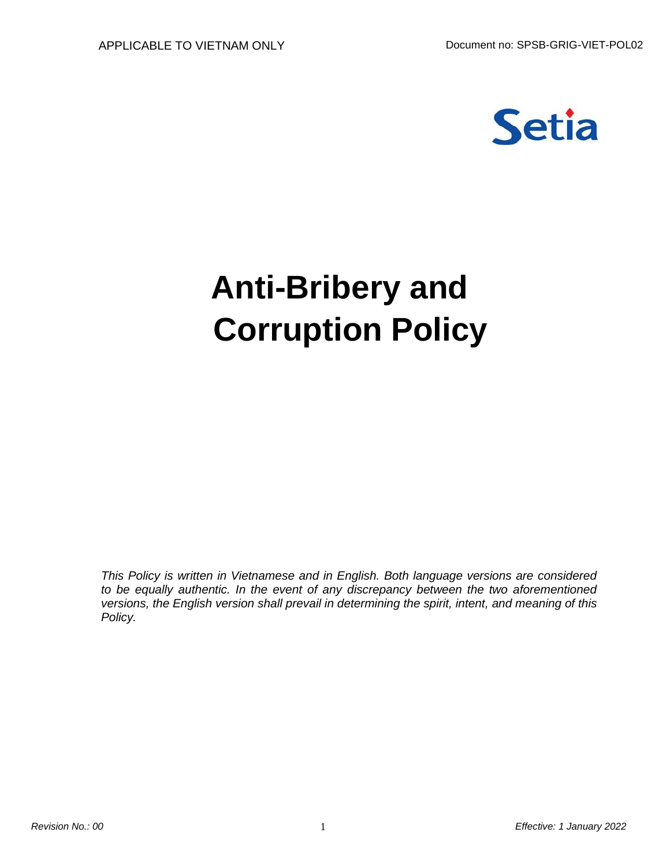

# **Anti-Bribery and Corruption Policy**

*This Policy is written in Vietnamese and in English. Both language versions are considered to be equally authentic. In the event of any discrepancy between the two aforementioned versions, the English version shall prevail in determining the spirit, intent, and meaning of this Policy.*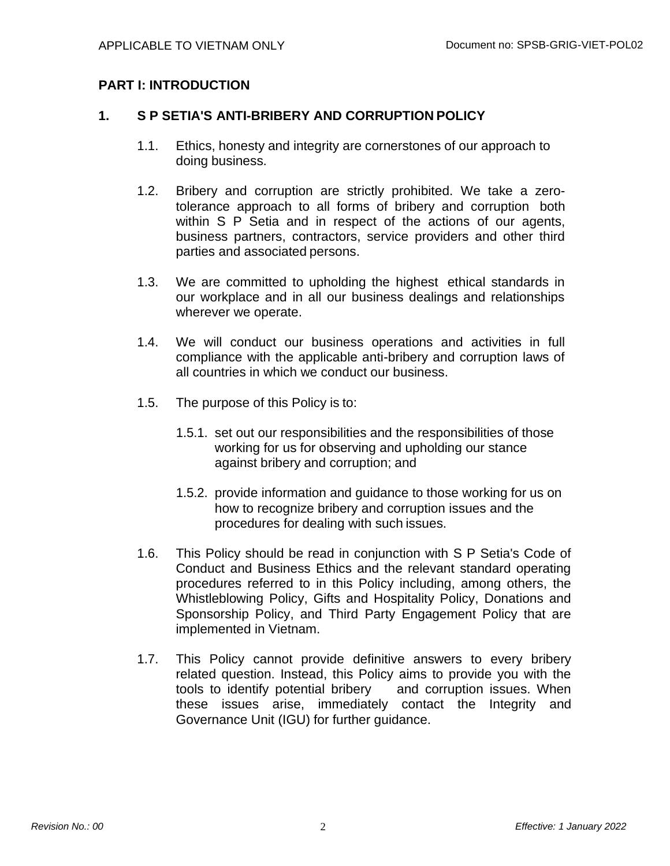## **PART I: INTRODUCTION**

### **1. S P SETIA'S ANTI-BRIBERY AND CORRUPTION POLICY**

- 1.1. Ethics, honesty and integrity are cornerstones of our approach to doing business.
- 1.2. Bribery and corruption are strictly prohibited. We take a zerotolerance approach to all forms of bribery and corruption both within S P Setia and in respect of the actions of our agents, business partners, contractors, service providers and other third parties and associated persons.
- 1.3. We are committed to upholding the highest ethical standards in our workplace and in all our business dealings and relationships wherever we operate.
- 1.4. We will conduct our business operations and activities in full compliance with the applicable anti-bribery and corruption laws of all countries in which we conduct our business.
- 1.5. The purpose of this Policy is to:
	- 1.5.1. set out our responsibilities and the responsibilities of those working for us for observing and upholding our stance against bribery and corruption; and
	- 1.5.2. provide information and guidance to those working for us on how to recognize bribery and corruption issues and the procedures for dealing with such issues.
- 1.6. This Policy should be read in conjunction with S P Setia's Code of Conduct and Business Ethics and the relevant standard operating procedures referred to in this Policy including, among others, the Whistleblowing Policy, Gifts and Hospitality Policy, Donations and Sponsorship Policy, and Third Party Engagement Policy that are implemented in Vietnam.
- 1.7. This Policy cannot provide definitive answers to every bribery related question. Instead, this Policy aims to provide you with the tools to identify potential bribery and corruption issues. When tools to identify potential bribery these issues arise, immediately contact the Integrity and Governance Unit (IGU) for further guidance.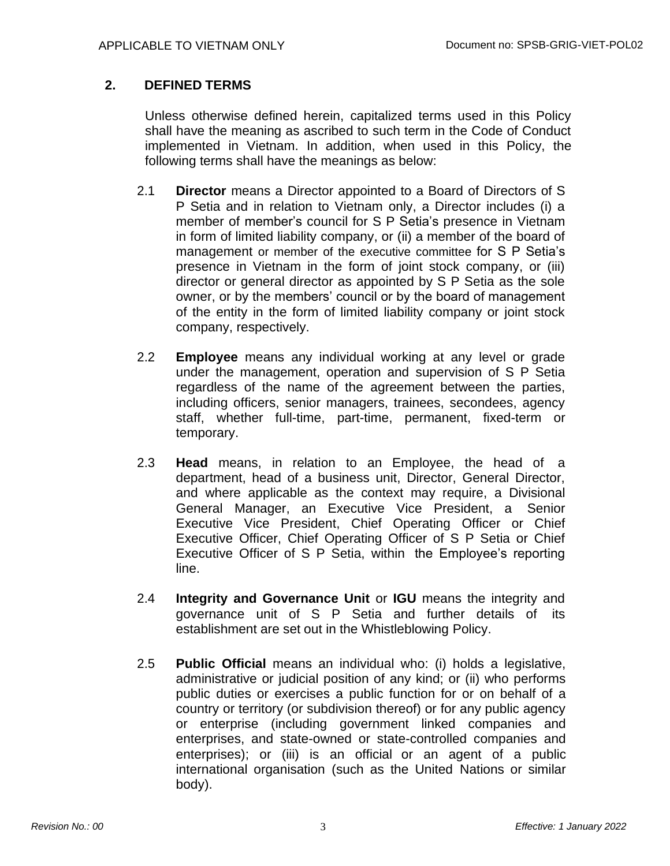## **2. DEFINED TERMS**

Unless otherwise defined herein, capitalized terms used in this Policy shall have the meaning as ascribed to such term in the Code of Conduct implemented in Vietnam. In addition, when used in this Policy, the following terms shall have the meanings as below:

- 2.1 **Director** means a Director appointed to a Board of Directors of S P Setia and in relation to Vietnam only, a Director includes (i) a member of member's council for S P Setia's presence in Vietnam in form of limited liability company, or (ii) a member of the board of management or member of the executive committee for S P Setia's presence in Vietnam in the form of joint stock company, or (iii) director or general director as appointed by S P Setia as the sole owner, or by the members' council or by the board of management of the entity in the form of limited liability company or joint stock company, respectively.
- 2.2 **Employee** means any individual working at any level or grade under the management, operation and supervision of S P Setia regardless of the name of the agreement between the parties, including officers, senior managers, trainees, secondees, agency staff, whether full-time, part-time, permanent, fixed-term or temporary.
- 2.3 **Head** means, in relation to an Employee, the head of a department, head of a business unit, Director, General Director, and where applicable as the context may require, a Divisional General Manager, an Executive Vice President, a Senior Executive Vice President, Chief Operating Officer or Chief Executive Officer, Chief Operating Officer of S P Setia or Chief Executive Officer of S P Setia, within the Employee's reporting line.
- 2.4 **Integrity and Governance Unit** or **IGU** means the integrity and governance unit of S P Setia and further details of its establishment are set out in the Whistleblowing Policy.
- 2.5 **Public Official** means an individual who: (i) holds a legislative, administrative or judicial position of any kind; or (ii) who performs public duties or exercises a public function for or on behalf of a country or territory (or subdivision thereof) or for any public agency or enterprise (including government linked companies and enterprises, and state-owned or state-controlled companies and enterprises); or (iii) is an official or an agent of a public international organisation (such as the United Nations or similar body).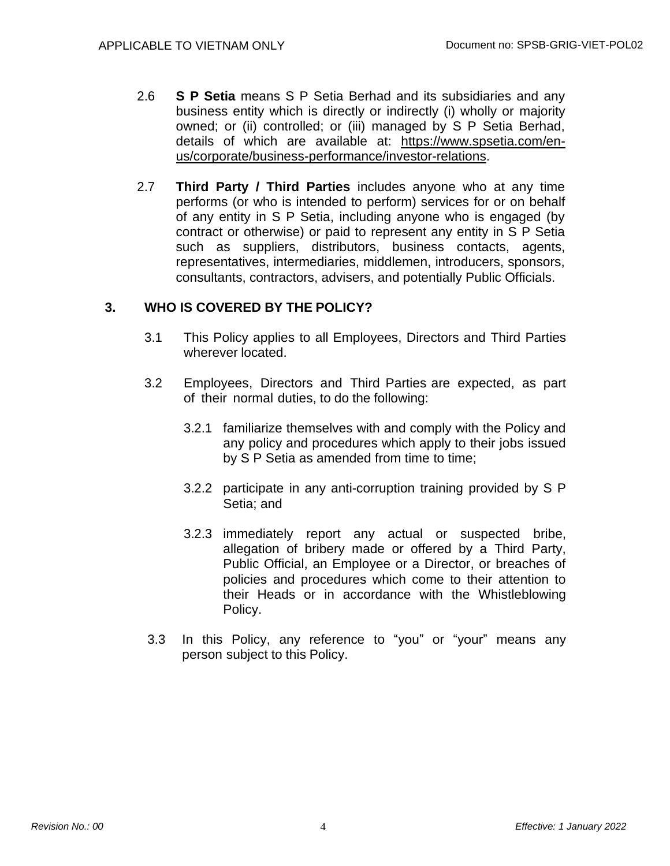- 2.6 **S P Setia** means S P Setia Berhad and its subsidiaries and any business entity which is directly or indirectly (i) wholly or majority owned; or (ii) controlled; or (iii) managed by S P Setia Berhad, details of which are available at: [https://www.spsetia.com/en](https://www.spsetia.com/en-us/corporate/business-performance/investor-relations)[us/corporate/business-performance/investor-relations.](https://www.spsetia.com/en-us/corporate/business-performance/investor-relations)
- 2.7 **Third Party / Third Parties** includes anyone who at any time performs (or who is intended to perform) services for or on behalf of any entity in S P Setia, including anyone who is engaged (by contract or otherwise) or paid to represent any entity in S P Setia such as suppliers, distributors, business contacts, agents, representatives, intermediaries, middlemen, introducers, sponsors, consultants, contractors, advisers, and potentially Public Officials.

## **3. WHO IS COVERED BY THE POLICY?**

- 3.1 This Policy applies to all Employees, Directors and Third Parties wherever located.
- 3.2 Employees, Directors and Third Parties are expected, as part of their normal duties, to do the following:
	- 3.2.1 familiarize themselves with and comply with the Policy and any policy and procedures which apply to their jobs issued by S P Setia as amended from time to time;
	- 3.2.2 participate in any anti-corruption training provided by S P Setia; and
	- 3.2.3 immediately report any actual or suspected bribe, allegation of bribery made or offered by a Third Party, Public Official, an Employee or a Director, or breaches of policies and procedures which come to their attention to their Heads or in accordance with the Whistleblowing Policy.
- 3.3 In this Policy, any reference to "you" or "your" means any person subject to this Policy.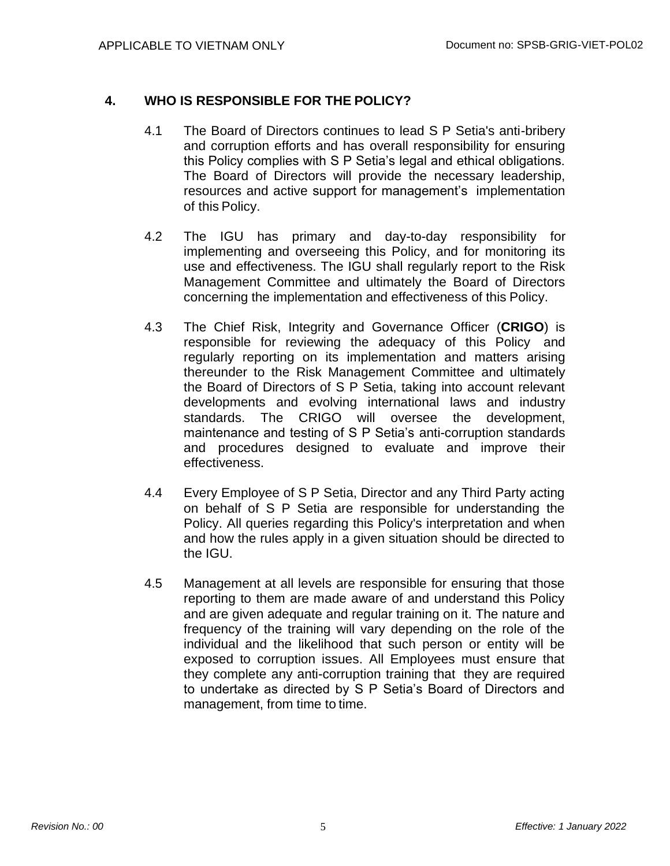## **4. WHO IS RESPONSIBLE FOR THE POLICY?**

- 4.1 The Board of Directors continues to lead S P Setia's anti-bribery and corruption efforts and has overall responsibility for ensuring this Policy complies with S P Setia's legal and ethical obligations. The Board of Directors will provide the necessary leadership, resources and active support for management's implementation of this Policy.
- 4.2 The IGU has primary and day-to-day responsibility for implementing and overseeing this Policy, and for monitoring its use and effectiveness. The IGU shall regularly report to the Risk Management Committee and ultimately the Board of Directors concerning the implementation and effectiveness of this Policy.
- 4.3 The Chief Risk, Integrity and Governance Officer (**CRIGO**) is responsible for reviewing the adequacy of this Policy and regularly reporting on its implementation and matters arising thereunder to the Risk Management Committee and ultimately the Board of Directors of S P Setia, taking into account relevant developments and evolving international laws and industry standards. The CRIGO will oversee the development, maintenance and testing of S P Setia's anti-corruption standards and procedures designed to evaluate and improve their effectiveness.
- 4.4 Every Employee of S P Setia, Director and any Third Party acting on behalf of S P Setia are responsible for understanding the Policy. All queries regarding this Policy's interpretation and when and how the rules apply in a given situation should be directed to the IGU.
- 4.5 Management at all levels are responsible for ensuring that those reporting to them are made aware of and understand this Policy and are given adequate and regular training on it. The nature and frequency of the training will vary depending on the role of the individual and the likelihood that such person or entity will be exposed to corruption issues. All Employees must ensure that they complete any anti-corruption training that they are required to undertake as directed by S P Setia's Board of Directors and management, from time to time.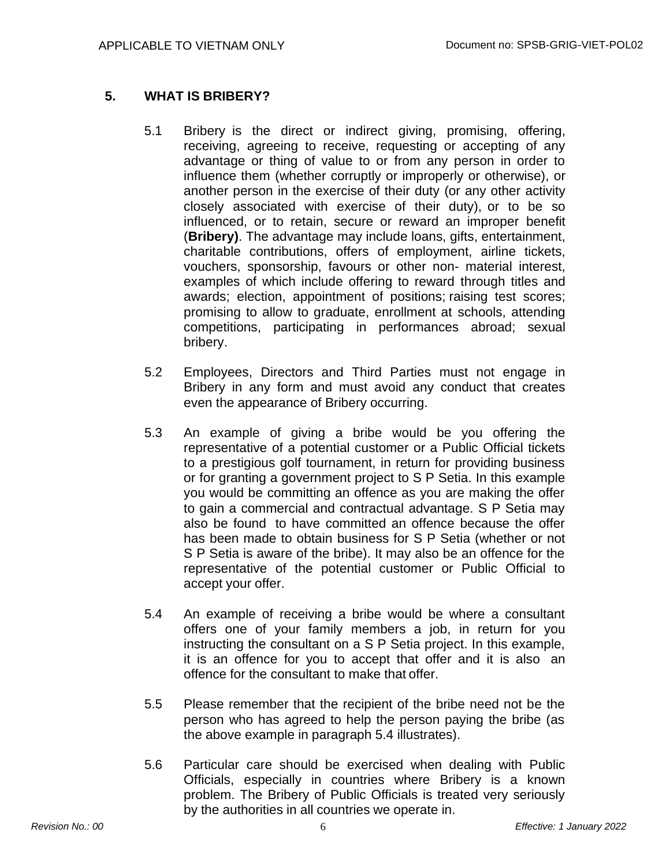## **5. WHAT IS BRIBERY?**

- 5.1 Bribery is the direct or indirect giving, promising, offering, receiving, agreeing to receive, requesting or accepting of any advantage or thing of value to or from any person in order to influence them (whether corruptly or improperly or otherwise), or another person in the exercise of their duty (or any other activity closely associated with exercise of their duty), or to be so influenced, or to retain, secure or reward an improper benefit (**Bribery)**. The advantage may include loans, gifts, entertainment, charitable contributions, offers of employment, airline tickets, vouchers, sponsorship, favours or other non- material interest, examples of which include offering to reward through titles and awards; election, appointment of positions; raising test scores; promising to allow to graduate, enrollment at schools, attending competitions, participating in performances abroad; sexual bribery.
- 5.2 Employees, Directors and Third Parties must not engage in Bribery in any form and must avoid any conduct that creates even the appearance of Bribery occurring.
- 5.3 An example of giving a bribe would be you offering the representative of a potential customer or a Public Official tickets to a prestigious golf tournament, in return for providing business or for granting a government project to S P Setia. In this example you would be committing an offence as you are making the offer to gain a commercial and contractual advantage. S P Setia may also be found to have committed an offence because the offer has been made to obtain business for S P Setia (whether or not S P Setia is aware of the bribe). It may also be an offence for the representative of the potential customer or Public Official to accept your offer.
- 5.4 An example of receiving a bribe would be where a consultant offers one of your family members a job, in return for you instructing the consultant on a S P Setia project. In this example, it is an offence for you to accept that offer and it is also an offence for the consultant to make that offer.
- 5.5 Please remember that the recipient of the bribe need not be the person who has agreed to help the person paying the bribe (as the above example in paragraph 5.4 illustrates).
- 5.6 Particular care should be exercised when dealing with Public Officials, especially in countries where Bribery is a known problem. The Bribery of Public Officials is treated very seriously by the authorities in all countries we operate in.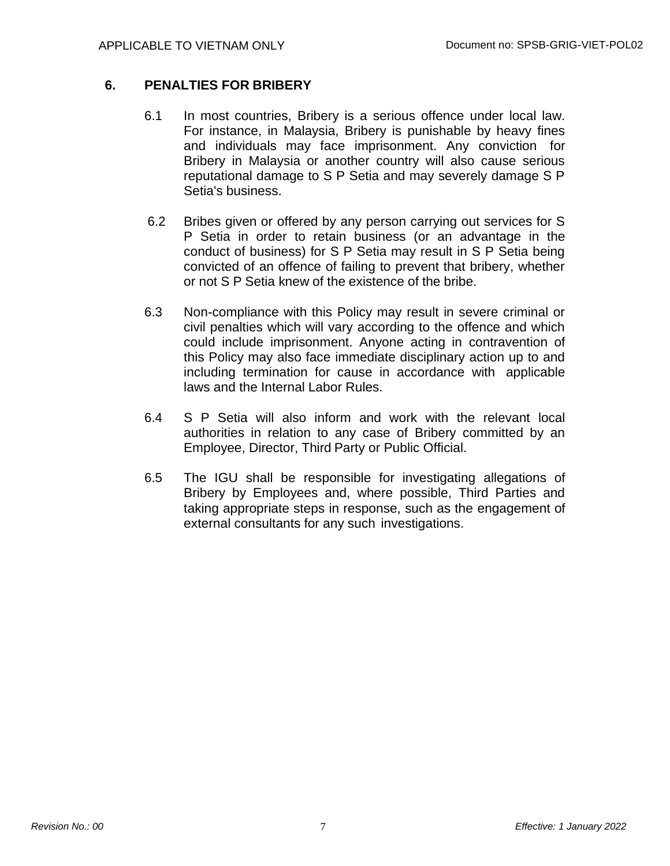## **6. PENALTIES FOR BRIBERY**

- 6.1 In most countries, Bribery is a serious offence under local law. For instance, in Malaysia, Bribery is punishable by heavy fines and individuals may face imprisonment. Any conviction for Bribery in Malaysia or another country will also cause serious reputational damage to S P Setia and may severely damage S P Setia's business.
- 6.2 Bribes given or offered by any person carrying out services for S P Setia in order to retain business (or an advantage in the conduct of business) for S P Setia may result in S P Setia being convicted of an offence of failing to prevent that bribery, whether or not S P Setia knew of the existence of the bribe.
- 6.3 Non-compliance with this Policy may result in severe criminal or civil penalties which will vary according to the offence and which could include imprisonment. Anyone acting in contravention of this Policy may also face immediate disciplinary action up to and including termination for cause in accordance with applicable laws and the Internal Labor Rules.
- 6.4 S P Setia will also inform and work with the relevant local authorities in relation to any case of Bribery committed by an Employee, Director, Third Party or Public Official.
- 6.5 The IGU shall be responsible for investigating allegations of Bribery by Employees and, where possible, Third Parties and taking appropriate steps in response, such as the engagement of external consultants for any such investigations.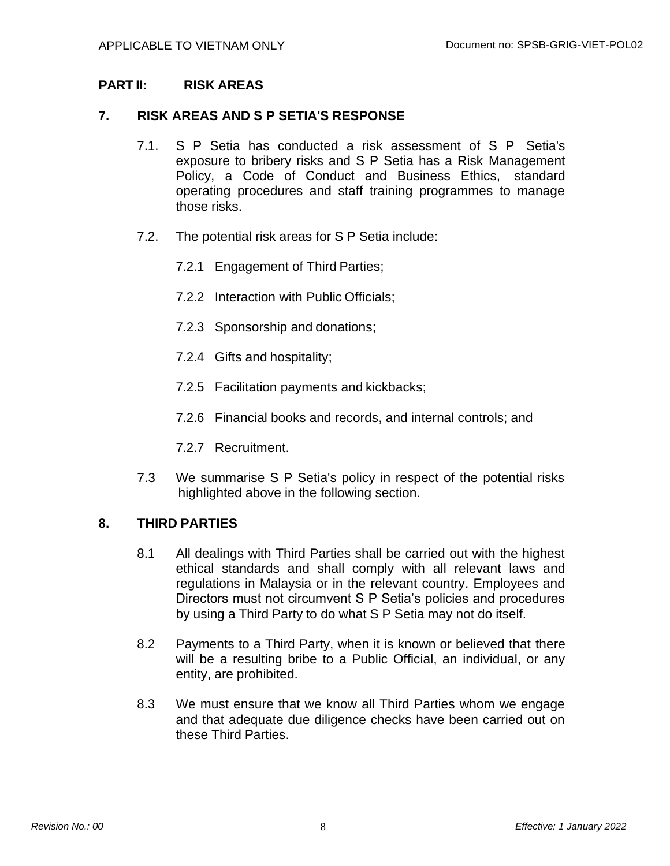## **PART II: RISK AREAS**

#### **7. RISK AREAS AND S P SETIA'S RESPONSE**

- 7.1. S P Setia has conducted a risk assessment of S P Setia's exposure to bribery risks and S P Setia has a Risk Management Policy, a Code of Conduct and Business Ethics, standard operating procedures and staff training programmes to manage those risks.
- 7.2. The potential risk areas for S P Setia include:
	- 7.2.1 Engagement of Third Parties;
	- 7.2.2 Interaction with Public Officials;
	- 7.2.3 Sponsorship and donations;
	- 7.2.4 Gifts and hospitality;
	- 7.2.5 Facilitation payments and kickbacks;
	- 7.2.6 Financial books and records, and internal controls; and
	- 7.2.7 Recruitment.
- 7.3 We summarise S P Setia's policy in respect of the potential risks highlighted above in the following section.

#### **8. THIRD PARTIES**

- 8.1 All dealings with Third Parties shall be carried out with the highest ethical standards and shall comply with all relevant laws and regulations in Malaysia or in the relevant country. Employees and Directors must not circumvent S P Setia's policies and procedures by using a Third Party to do what S P Setia may not do itself.
- 8.2 Payments to a Third Party, when it is known or believed that there will be a resulting bribe to a Public Official, an individual, or any entity, are prohibited.
- 8.3 We must ensure that we know all Third Parties whom we engage and that adequate due diligence checks have been carried out on these Third Parties.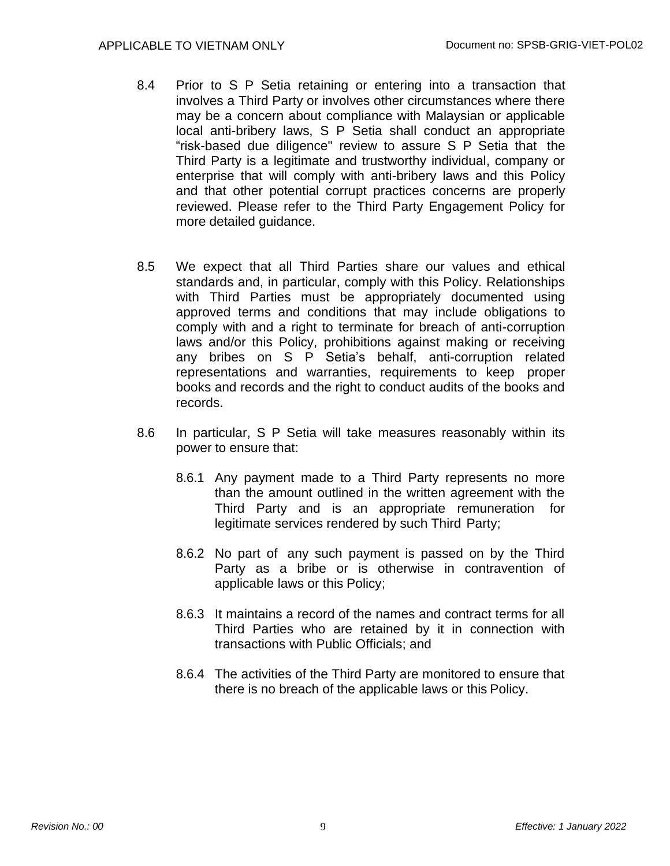- 8.4 Prior to S P Setia retaining or entering into a transaction that involves a Third Party or involves other circumstances where there may be a concern about compliance with Malaysian or applicable local anti-bribery laws, S P Setia shall conduct an appropriate "risk-based due diligence" review to assure S P Setia that the Third Party is a legitimate and trustworthy individual, company or enterprise that will comply with anti-bribery laws and this Policy and that other potential corrupt practices concerns are properly reviewed. Please refer to the Third Party Engagement Policy for more detailed guidance.
- 8.5 We expect that all Third Parties share our values and ethical standards and, in particular, comply with this Policy. Relationships with Third Parties must be appropriately documented using approved terms and conditions that may include obligations to comply with and a right to terminate for breach of anti-corruption laws and/or this Policy, prohibitions against making or receiving any bribes on S P Setia's behalf, anti-corruption related representations and warranties, requirements to keep proper books and records and the right to conduct audits of the books and records.
- 8.6 In particular, S P Setia will take measures reasonably within its power to ensure that:
	- 8.6.1 Any payment made to a Third Party represents no more than the amount outlined in the written agreement with the Third Party and is an appropriate remuneration for legitimate services rendered by such Third Party;
	- 8.6.2 No part of any such payment is passed on by the Third Party as a bribe or is otherwise in contravention of applicable laws or this Policy;
	- 8.6.3 It maintains a record of the names and contract terms for all Third Parties who are retained by it in connection with transactions with Public Officials; and
	- 8.6.4 The activities of the Third Party are monitored to ensure that there is no breach of the applicable laws or this Policy.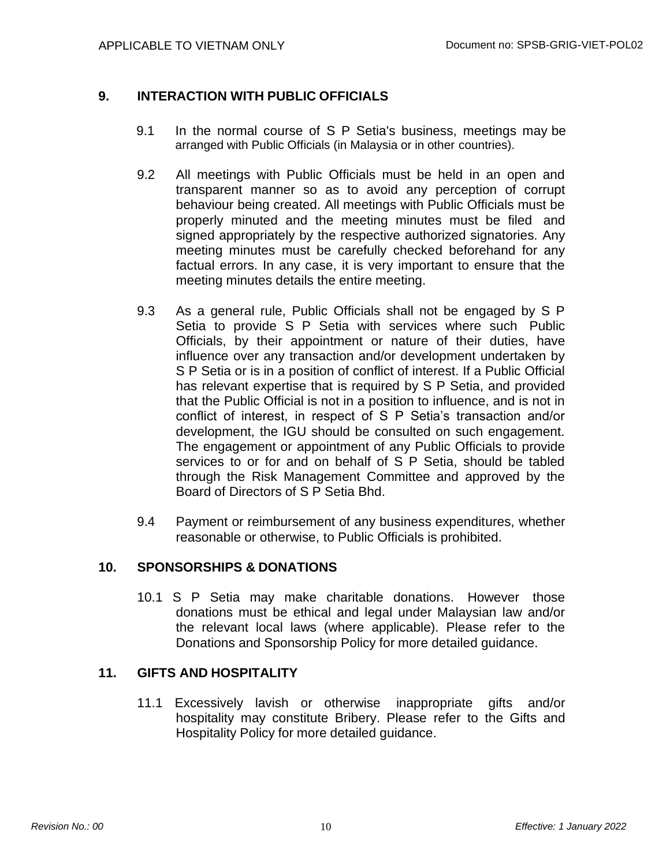## **9. INTERACTION WITH PUBLIC OFFICIALS**

- 9.1 In the normal course of S P Setia's business, meetings may be arranged with Public Officials (in Malaysia or in other countries).
- 9.2 All meetings with Public Officials must be held in an open and transparent manner so as to avoid any perception of corrupt behaviour being created. All meetings with Public Officials must be properly minuted and the meeting minutes must be filed and signed appropriately by the respective authorized signatories. Any meeting minutes must be carefully checked beforehand for any factual errors. In any case, it is very important to ensure that the meeting minutes details the entire meeting.
- 9.3 As a general rule, Public Officials shall not be engaged by S P Setia to provide S P Setia with services where such Public Officials, by their appointment or nature of their duties, have influence over any transaction and/or development undertaken by S P Setia or is in a position of conflict of interest. If a Public Official has relevant expertise that is required by S P Setia, and provided that the Public Official is not in a position to influence, and is not in conflict of interest, in respect of S P Setia's transaction and/or development, the IGU should be consulted on such engagement. The engagement or appointment of any Public Officials to provide services to or for and on behalf of S P Setia, should be tabled through the Risk Management Committee and approved by the Board of Directors of S P Setia Bhd.
- 9.4 Payment or reimbursement of any business expenditures, whether reasonable or otherwise, to Public Officials is prohibited.

#### **10. SPONSORSHIPS & DONATIONS**

10.1 S P Setia may make charitable donations. However those donations must be ethical and legal under Malaysian law and/or the relevant local laws (where applicable). Please refer to the Donations and Sponsorship Policy for more detailed guidance.

#### **11. GIFTS AND HOSPITALITY**

11.1 Excessively lavish or otherwise inappropriate gifts and/or hospitality may constitute Bribery. Please refer to the Gifts and Hospitality Policy for more detailed guidance.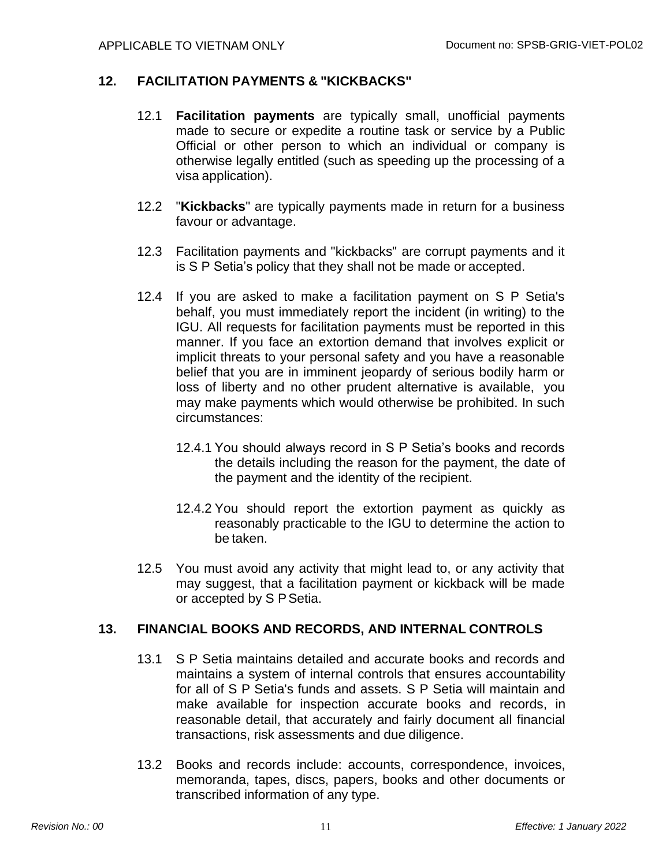#### **12. FACILITATION PAYMENTS & "KICKBACKS"**

- 12.1 **Facilitation payments** are typically small, unofficial payments made to secure or expedite a routine task or service by a Public Official or other person to which an individual or company is otherwise legally entitled (such as speeding up the processing of a visa application).
- 12.2 "**Kickbacks**" are typically payments made in return for a business favour or advantage.
- 12.3 Facilitation payments and "kickbacks" are corrupt payments and it is S P Setia's policy that they shall not be made or accepted.
- 12.4 If you are asked to make a facilitation payment on S P Setia's behalf, you must immediately report the incident (in writing) to the IGU. All requests for facilitation payments must be reported in this manner. If you face an extortion demand that involves explicit or implicit threats to your personal safety and you have a reasonable belief that you are in imminent jeopardy of serious bodily harm or loss of liberty and no other prudent alternative is available, you may make payments which would otherwise be prohibited. In such circumstances:
	- 12.4.1 You should always record in S P Setia's books and records the details including the reason for the payment, the date of the payment and the identity of the recipient.
	- 12.4.2 You should report the extortion payment as quickly as reasonably practicable to the IGU to determine the action to be taken.
- 12.5 You must avoid any activity that might lead to, or any activity that may suggest, that a facilitation payment or kickback will be made or accepted by S PSetia.

#### **13. FINANCIAL BOOKS AND RECORDS, AND INTERNAL CONTROLS**

- 13.1 S P Setia maintains detailed and accurate books and records and maintains a system of internal controls that ensures accountability for all of S P Setia's funds and assets. S P Setia will maintain and make available for inspection accurate books and records, in reasonable detail, that accurately and fairly document all financial transactions, risk assessments and due diligence.
- 13.2 Books and records include: accounts, correspondence, invoices, memoranda, tapes, discs, papers, books and other documents or transcribed information of any type.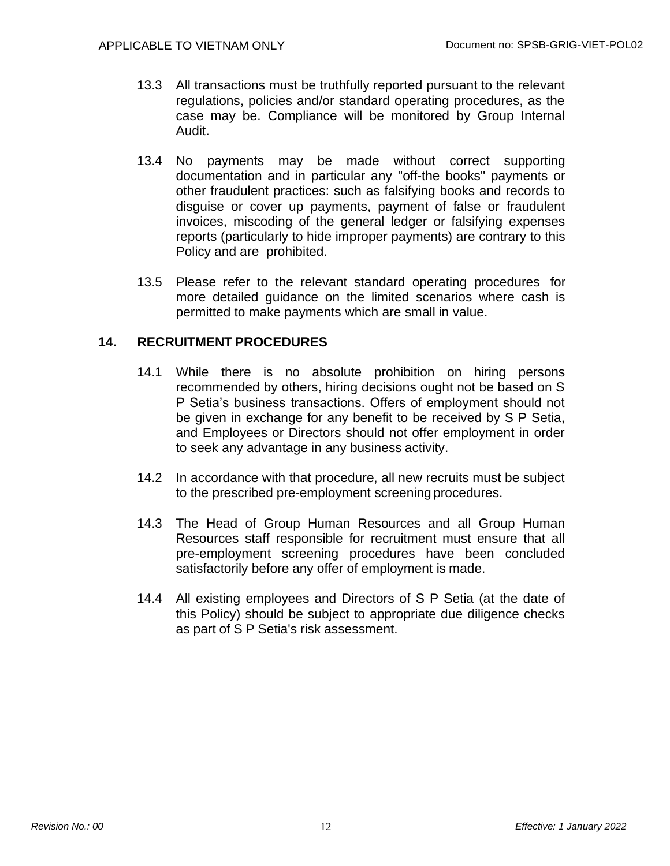- 13.3 All transactions must be truthfully reported pursuant to the relevant regulations, policies and/or standard operating procedures, as the case may be. Compliance will be monitored by Group Internal Audit.
- 13.4 No payments may be made without correct supporting documentation and in particular any "off-the books" payments or other fraudulent practices: such as falsifying books and records to disguise or cover up payments, payment of false or fraudulent invoices, miscoding of the general ledger or falsifying expenses reports (particularly to hide improper payments) are contrary to this Policy and are prohibited.
- 13.5 Please refer to the relevant standard operating procedures for more detailed guidance on the limited scenarios where cash is permitted to make payments which are small in value.

### **14. RECRUITMENT PROCEDURES**

- 14.1 While there is no absolute prohibition on hiring persons recommended by others, hiring decisions ought not be based on S P Setia's business transactions. Offers of employment should not be given in exchange for any benefit to be received by S P Setia, and Employees or Directors should not offer employment in order to seek any advantage in any business activity.
- 14.2 In accordance with that procedure, all new recruits must be subject to the prescribed pre-employment screening procedures.
- 14.3 The Head of Group Human Resources and all Group Human Resources staff responsible for recruitment must ensure that all pre-employment screening procedures have been concluded satisfactorily before any offer of employment is made.
- 14.4 All existing employees and Directors of S P Setia (at the date of this Policy) should be subject to appropriate due diligence checks as part of S P Setia's risk assessment.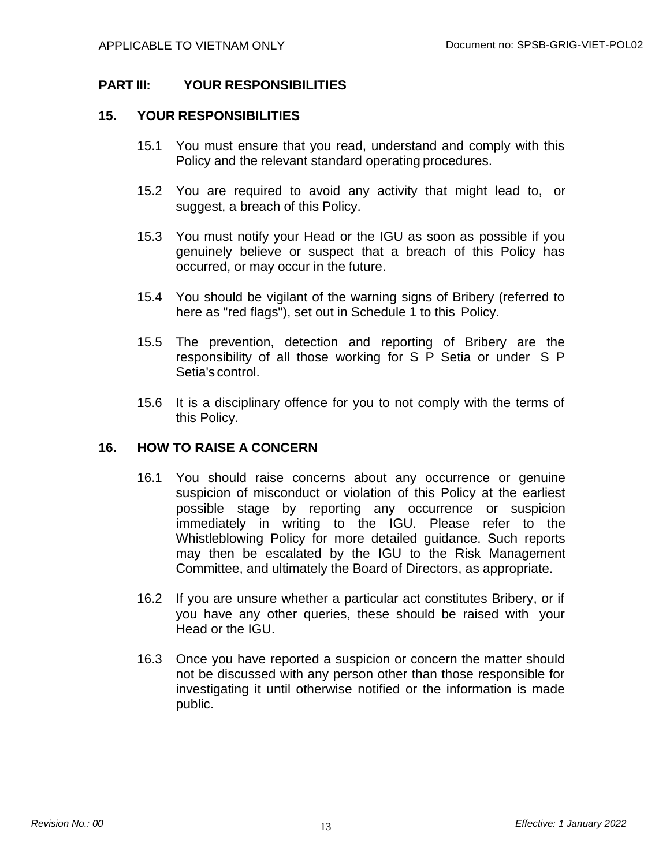## **PART III: YOUR RESPONSIBILITIES**

#### **15. YOUR RESPONSIBILITIES**

- 15.1 You must ensure that you read, understand and comply with this Policy and the relevant standard operating procedures.
- 15.2 You are required to avoid any activity that might lead to, or suggest, a breach of this Policy.
- 15.3 You must notify your Head or the IGU as soon as possible if you genuinely believe or suspect that a breach of this Policy has occurred, or may occur in the future.
- 15.4 You should be vigilant of the warning signs of Bribery (referred to here as "red flags"), set out in Schedule 1 to this Policy.
- 15.5 The prevention, detection and reporting of Bribery are the responsibility of all those working for S P Setia or under S P Setia's control.
- 15.6 It is a disciplinary offence for you to not comply with the terms of this Policy.

#### **16. HOW TO RAISE A CONCERN**

- 16.1 You should raise concerns about any occurrence or genuine suspicion of misconduct or violation of this Policy at the earliest possible stage by reporting any occurrence or suspicion immediately in writing to the IGU. Please refer to the Whistleblowing Policy for more detailed guidance. Such reports may then be escalated by the IGU to the Risk Management Committee, and ultimately the Board of Directors, as appropriate.
- 16.2 If you are unsure whether a particular act constitutes Bribery, or if you have any other queries, these should be raised with your Head or the IGU.
- 16.3 Once you have reported a suspicion or concern the matter should not be discussed with any person other than those responsible for investigating it until otherwise notified or the information is made public.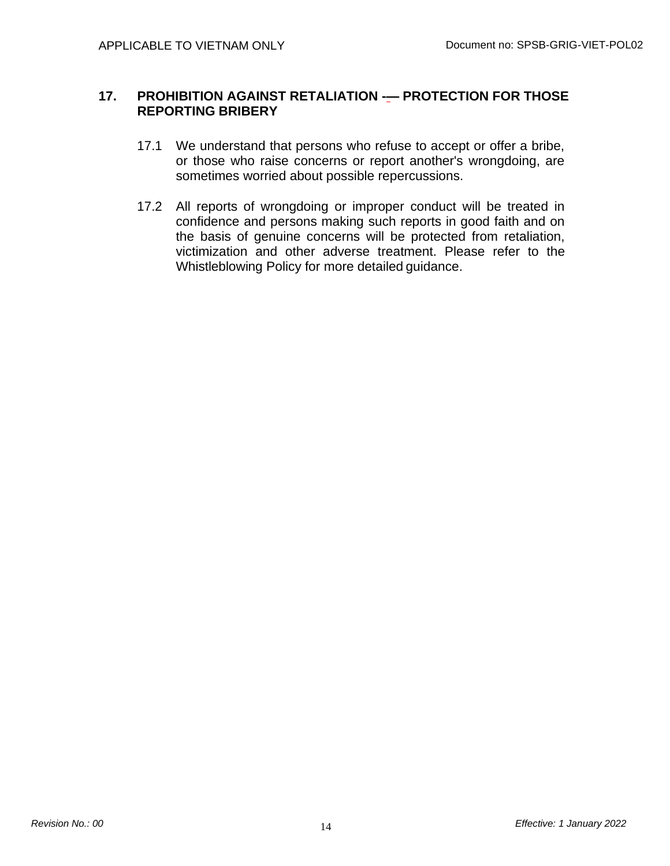#### **17. PROHIBITION AGAINST RETALIATION -— PROTECTION FOR THOSE REPORTING BRIBERY**

- 17.1 We understand that persons who refuse to accept or offer a bribe, or those who raise concerns or report another's wrongdoing, are sometimes worried about possible repercussions.
- 17.2 All reports of wrongdoing or improper conduct will be treated in confidence and persons making such reports in good faith and on the basis of genuine concerns will be protected from retaliation, victimization and other adverse treatment. Please refer to the Whistleblowing Policy for more detailed guidance.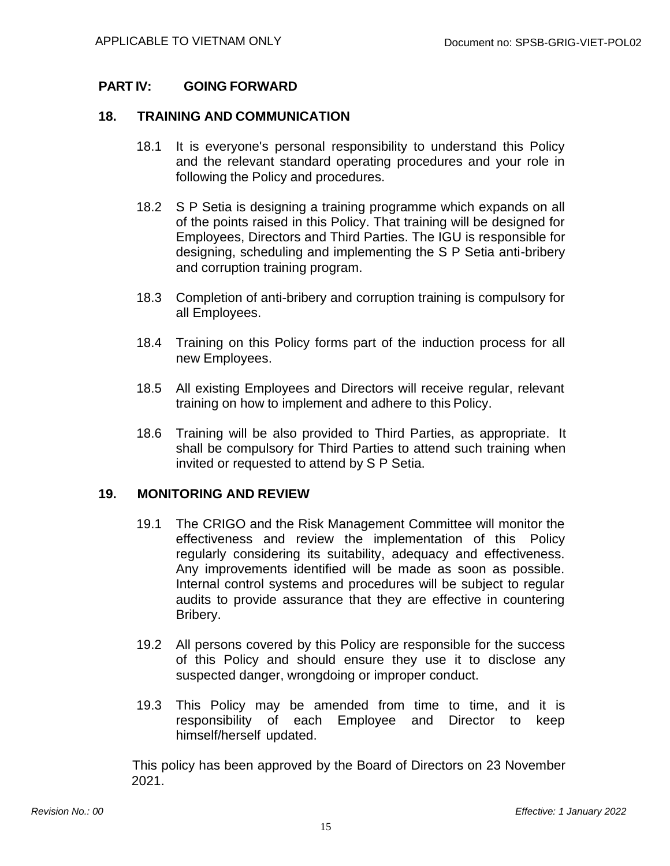#### **PART IV: GOING FORWARD**

#### **18. TRAINING AND COMMUNICATION**

- 18.1 It is everyone's personal responsibility to understand this Policy and the relevant standard operating procedures and your role in following the Policy and procedures.
- 18.2 S P Setia is designing a training programme which expands on all of the points raised in this Policy. That training will be designed for Employees, Directors and Third Parties. The IGU is responsible for designing, scheduling and implementing the S P Setia anti-bribery and corruption training program.
- 18.3 Completion of anti-bribery and corruption training is compulsory for all Employees.
- 18.4 Training on this Policy forms part of the induction process for all new Employees.
- 18.5 All existing Employees and Directors will receive regular, relevant training on how to implement and adhere to this Policy.
- 18.6 Training will be also provided to Third Parties, as appropriate. It shall be compulsory for Third Parties to attend such training when invited or requested to attend by S P Setia.

#### **19. MONITORING AND REVIEW**

- 19.1 The CRIGO and the Risk Management Committee will monitor the effectiveness and review the implementation of this Policy regularly considering its suitability, adequacy and effectiveness. Any improvements identified will be made as soon as possible. Internal control systems and procedures will be subject to regular audits to provide assurance that they are effective in countering Bribery.
- 19.2 All persons covered by this Policy are responsible for the success of this Policy and should ensure they use it to disclose any suspected danger, wrongdoing or improper conduct.
- 19.3 This Policy may be amended from time to time, and it is responsibility of each Employee and Director to keep himself/herself updated.

This policy has been approved by the Board of Directors on 23 November 2021.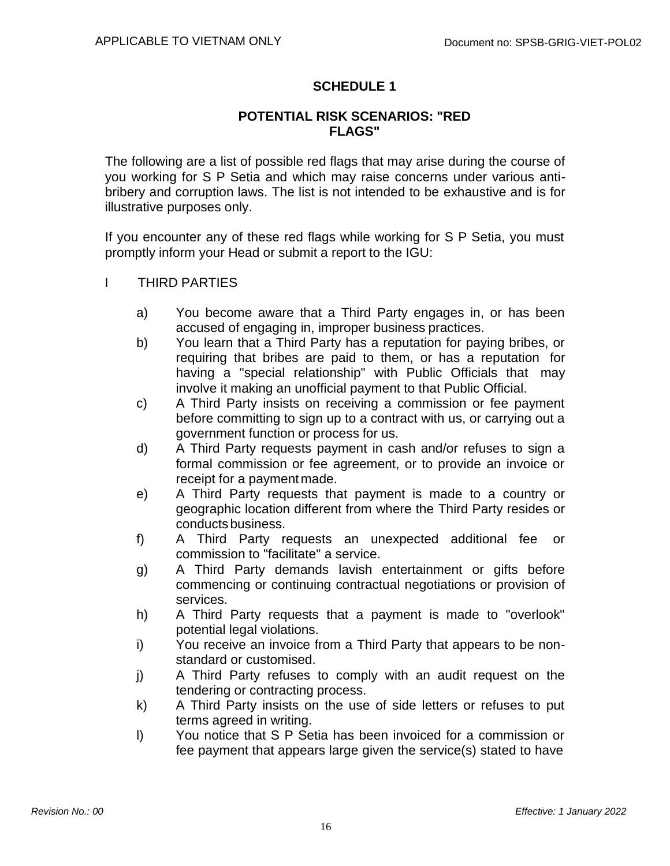### **SCHEDULE 1**

#### **POTENTIAL RISK SCENARIOS: "RED FLAGS"**

The following are a list of possible red flags that may arise during the course of you working for S P Setia and which may raise concerns under various antibribery and corruption laws. The list is not intended to be exhaustive and is for illustrative purposes only.

If you encounter any of these red flags while working for S P Setia, you must promptly inform your Head or submit a report to the IGU:

- I THIRD PARTIES
	- a) You become aware that a Third Party engages in, or has been accused of engaging in, improper business practices.
	- b) You learn that a Third Party has a reputation for paying bribes, or requiring that bribes are paid to them, or has a reputation for having a "special relationship" with Public Officials that may involve it making an unofficial payment to that Public Official.
	- c) A Third Party insists on receiving a commission or fee payment before committing to sign up to a contract with us, or carrying out a government function or process for us.
	- d) A Third Party requests payment in cash and/or refuses to sign a formal commission or fee agreement, or to provide an invoice or receipt for a paymentmade.
	- e) A Third Party requests that payment is made to a country or geographic location different from where the Third Party resides or conducts business.
	- f) A Third Party requests an unexpected additional fee or commission to "facilitate" a service.
	- g) A Third Party demands lavish entertainment or gifts before commencing or continuing contractual negotiations or provision of services.
	- h) A Third Party requests that a payment is made to "overlook" potential legal violations.
	- i) You receive an invoice from a Third Party that appears to be nonstandard or customised.
	- j) A Third Party refuses to comply with an audit request on the tendering or contracting process.
	- k) A Third Party insists on the use of side letters or refuses to put terms agreed in writing.
	- l) You notice that S P Setia has been invoiced for a commission or fee payment that appears large given the service(s) stated to have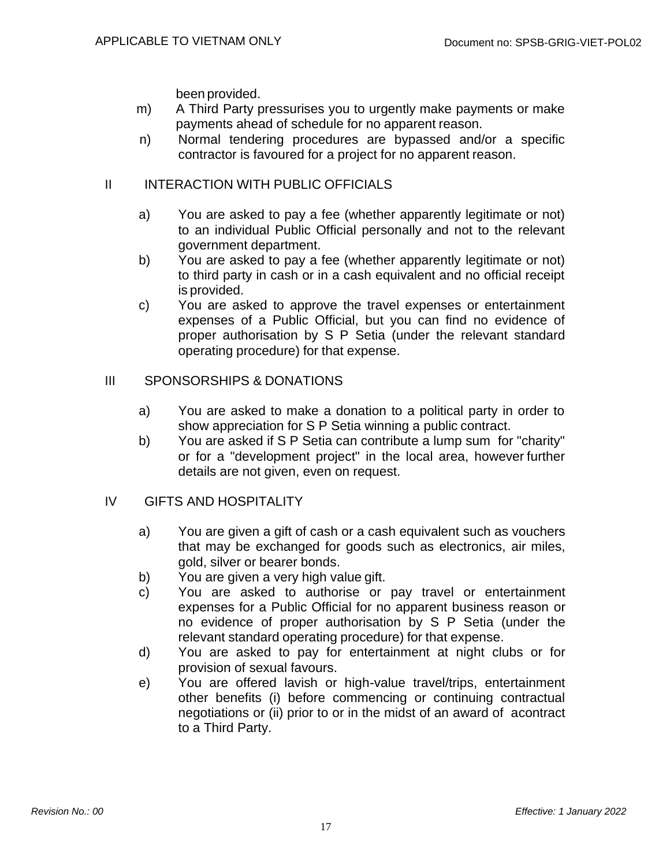been provided.

- m) A Third Party pressurises you to urgently make payments or make payments ahead of schedule for no apparent reason.
- n) Normal tendering procedures are bypassed and/or a specific contractor is favoured for a project for no apparent reason.

#### II INTERACTION WITH PUBLIC OFFICIALS

- a) You are asked to pay a fee (whether apparently legitimate or not) to an individual Public Official personally and not to the relevant government department.
- b) You are asked to pay a fee (whether apparently legitimate or not) to third party in cash or in a cash equivalent and no official receipt is provided.
- c) You are asked to approve the travel expenses or entertainment expenses of a Public Official, but you can find no evidence of proper authorisation by S P Setia (under the relevant standard operating procedure) for that expense.

#### III SPONSORSHIPS & DONATIONS

- a) You are asked to make a donation to a political party in order to show appreciation for S P Setia winning a public contract.
- b) You are asked if S P Setia can contribute a lump sum for "charity" or for a "development project" in the local area, however further details are not given, even on request.

#### IV GIFTS AND HOSPITALITY

- a) You are given a gift of cash or a cash equivalent such as vouchers that may be exchanged for goods such as electronics, air miles, gold, silver or bearer bonds.
- b) You are given a very high value gift.
- c) You are asked to authorise or pay travel or entertainment expenses for a Public Official for no apparent business reason or no evidence of proper authorisation by S P Setia (under the relevant standard operating procedure) for that expense.
- d) You are asked to pay for entertainment at night clubs or for provision of sexual favours.
- e) You are offered lavish or high-value travel/trips, entertainment other benefits (i) before commencing or continuing contractual negotiations or (ii) prior to or in the midst of an award of acontract to a Third Party.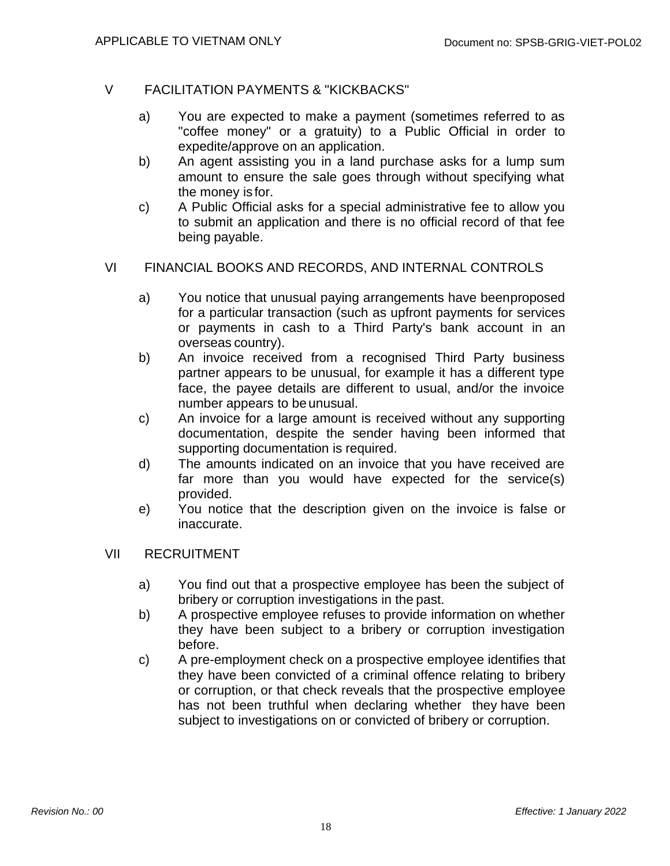#### V FACILITATION PAYMENTS & "KICKBACKS"

- a) You are expected to make a payment (sometimes referred to as "coffee money" or a gratuity) to a Public Official in order to expedite/approve on an application.
- b) An agent assisting you in a land purchase asks for a lump sum amount to ensure the sale goes through without specifying what the money is for.
- c) A Public Official asks for a special administrative fee to allow you to submit an application and there is no official record of that fee being payable.

#### VI FINANCIAL BOOKS AND RECORDS, AND INTERNAL CONTROLS

- a) You notice that unusual paying arrangements have beenproposed for a particular transaction (such as upfront payments for services or payments in cash to a Third Party's bank account in an overseas country).
- b) An invoice received from a recognised Third Party business partner appears to be unusual, for example it has a different type face, the payee details are different to usual, and/or the invoice number appears to be unusual.
- c) An invoice for a large amount is received without any supporting documentation, despite the sender having been informed that supporting documentation is required.
- d) The amounts indicated on an invoice that you have received are far more than you would have expected for the service(s) provided.
- e) You notice that the description given on the invoice is false or inaccurate.

#### VII RECRUITMENT

- a) You find out that a prospective employee has been the subject of bribery or corruption investigations in the past.
- b) A prospective employee refuses to provide information on whether they have been subject to a bribery or corruption investigation before.
- c) A pre-employment check on a prospective employee identifies that they have been convicted of a criminal offence relating to bribery or corruption, or that check reveals that the prospective employee has not been truthful when declaring whether they have been subject to investigations on or convicted of bribery or corruption.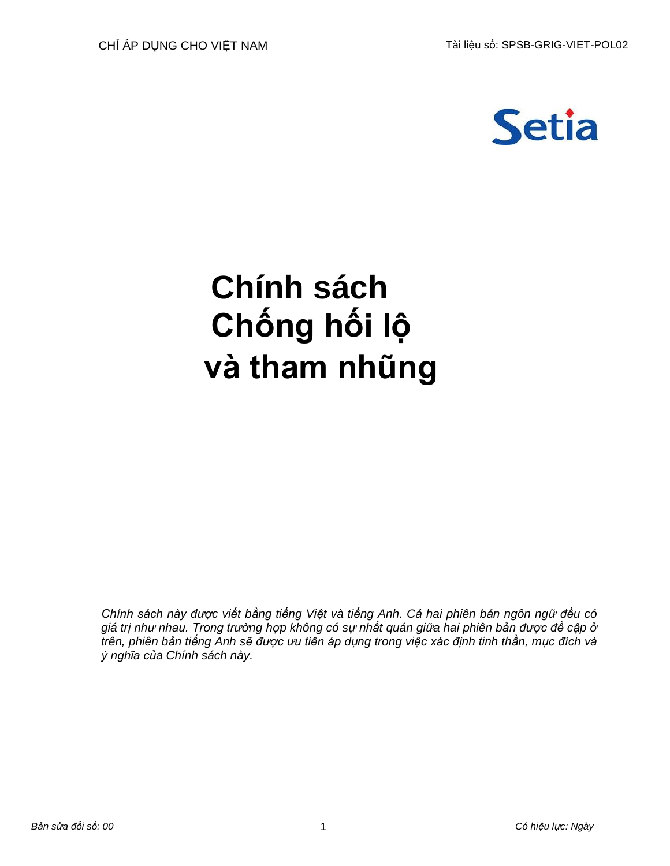

# **Chính sách Chống hối lộ và tham nhũng**

*Chính sách này được viết bằng tiếng Việt và tiếng Anh. Cả hai phiên bản ngôn ngữ đều có giá trị như nhau. Trong trường hợp không có sự nhất quán giữa hai phiên bản được đề cập ở trên, phiên bản tiếng Anh sẽ được ưu tiên áp dụng trong việc xác định tinh thần, mục đích và ý nghĩa của Chính sách này.*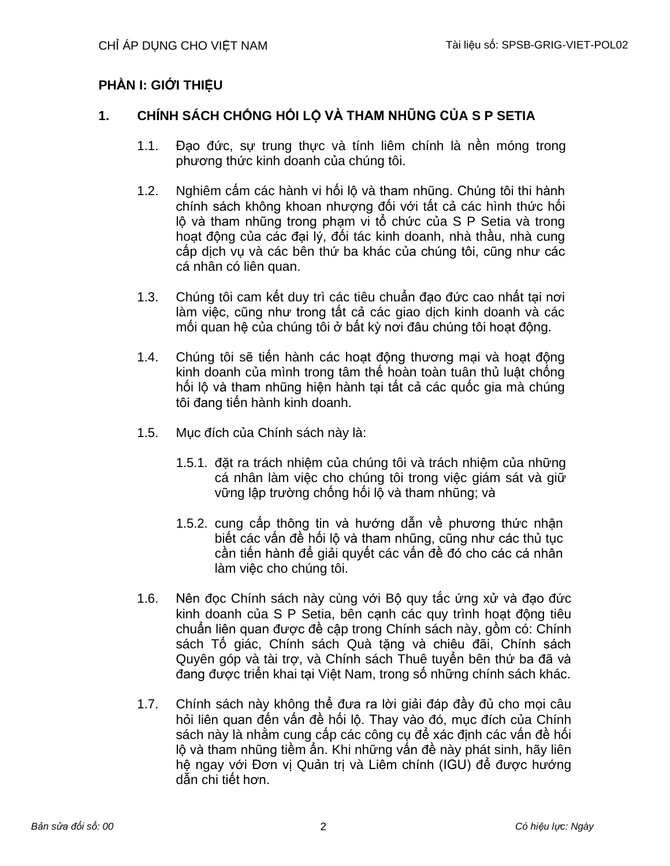# **PHẦN I: GIỚI THIỆU**

# **1. CHÍNH SÁCH CHỐNG HỐI LỘ VÀ THAM NHŨNG CỦA S P SETIA**

- 1.1. Đạo đức, sự trung thực và tính liêm chính là nền móng trong phương thức kinh doanh của chúng tôi.
- 1.2. Nghiêm cấm các hành vi hối lộ và tham nhũng. Chúng tôi thi hành chính sách không khoan nhượng đối với tất cả các hình thức hối lộ và tham nhũng trong phạm vi tổ chức của S P Setia và trong hoạt động của các đại lý, đối tác kinh doanh, nhà thầu, nhà cung cấp dịch vụ và các bên thứ ba khác của chúng tôi, cũng như các cá nhân có liên quan.
- 1.3. Chúng tôi cam kết duy trì các tiêu chuẩn đạo đức cao nhất tại nơi làm việc, cũng như trong tất cả các giao dịch kinh doanh và các mối quan hệ của chúng tôi ở bất kỳ nơi đâu chúng tôi hoạt đông.
- 1.4. Chúng tôi sẽ tiến hành các hoạt động thương mại và hoạt động kinh doanh của mình trong tâm thế hoàn toàn tuân thủ luật chống hối lộ và tham nhũng hiện hành tại tất cả các quốc gia mà chúng tôi đang tiến hành kinh doanh.
- 1.5. Mục đích của Chính sách này là:
	- 1.5.1. đặt ra trách nhiệm của chúng tôi và trách nhiệm của những cá nhân làm việc cho chúng tôi trong việc giám sát và giữ vững lập trường chống hối lộ và tham nhũng; và
	- 1.5.2. cung cấp thông tin và hướng dẫn về phương thức nhận biết các vấn đề hối lộ và tham nhũng, cũng như các thủ tục cần tiến hành để giải quyết các vấn đề đó cho các cá nhân làm việc cho chúng tôi.
- 1.6. Nên đọc Chính sách này cùng với Bộ quy tắc ứng xử và đạo đức kinh doanh của S P Setia, bên canh các quy trình hoạt đông tiêu chuẩn liên quan được đề cập trong Chính sách này, gồm có: Chính sách Tố giác, Chính sách Quà tặng và chiêu đãi, Chính sách Quyên góp và tài trợ, và Chính sách Thuê tuyển bên thứ ba đã và đang được triển khai tại Việt Nam, trong số những chính sách khác.
- 1.7. Chính sách này không thể đưa ra lời giải đáp đầy đủ cho mọi câu hỏi liên quan đến vấn đề hối lộ. Thay vào đó, mục đích của Chính sách này là nhằm cung cấp các công cụ để xác định các vấn đề hối lộ và tham nhũng tiềm ẩn. Khi những vấn đề này phát sinh, hãy liên hệ ngay với Đơn vị Quản trị và Liêm chính (IGU) để được hướng dẫn chi tiết hơn.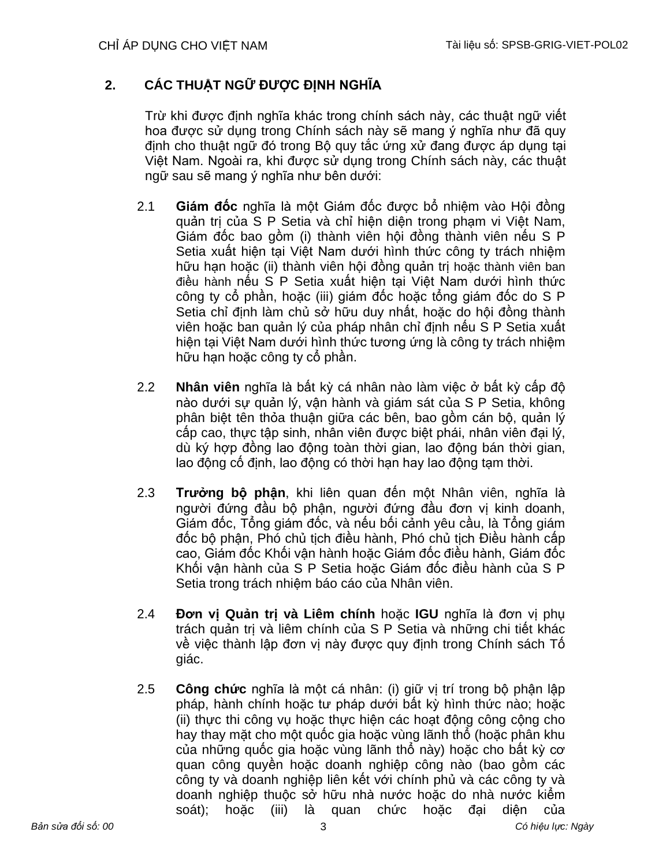# **2. CÁC THUẬT NGỮ ĐƯỢC ĐỊNH NGHĨA**

Trừ khi được định nghĩa khác trong chính sách này, các thuật ngữ viết hoa được sử dụng trong Chính sách này sẽ mang ý nghĩa như đã quy định cho thuật ngữ đó trong Bộ quy tắc ứng xử đang được áp dụng tại Việt Nam. Ngoài ra, khi được sử dụng trong Chính sách này, các thuật ngữ sau sẽ mang ý nghĩa như bên dưới:

- 2.1 **Giám đốc** nghĩa là một Giám đốc được bổ nhiệm vào Hội đồng quản trị của S P Setia và chỉ hiện diện trong phạm vi Việt Nam, Giám đốc bao gồm (i) thành viên hội đồng thành viên nếu S P Setia xuất hiện tại Việt Nam dưới hình thức công ty trách nhiệm hữu hạn hoặc (ii) thành viên hội đồng quản trị hoặc thành viên ban điều hành nếu S P Setia xuất hiện tại Việt Nam dưới hình thức công ty cổ phần, hoặc (iii) giám đốc hoặc tổng giám đốc do S P Setia chỉ định làm chủ sở hữu duy nhất, hoặc do hội đồng thành viên hoặc ban quản lý của pháp nhân chỉ định nếu S P Setia xuất hiện tại Việt Nam dưới hình thức tương ứng là công ty trách nhiệm hữu hạn hoặc công ty cổ phần.
- 2.2 **Nhân viên** nghĩa là bất kỳ cá nhân nào làm việc ở bất kỳ cấp độ nào dưới sự quản lý, vận hành và giám sát của S P Setia, không phân biệt tên thỏa thuận giữa các bên, bao gồm cán bộ, quản lý cấp cao, thực tập sinh, nhân viên được biệt phái, nhân viên đại lý, dù ký hợp đồng lao động toàn thời gian, lao động bán thời gian, lao động cố định, lao động có thời hạn hay lao động tạm thời.
- 2.3 **Trưởng bộ phận**, khi liên quan đến một Nhân viên, nghĩa là người đứng đầu bộ phận, người đứng đầu đơn vị kinh doanh, Giám đốc, Tổng giám đốc, và nếu bối cảnh yêu cầu, là Tổng giám đốc bộ phận, Phó chủ tịch điều hành, Phó chủ tịch Điều hành cấp cao, Giám đốc Khối vận hành hoặc Giám đốc điều hành, Giám đốc Khối vận hành của S P Setia hoặc Giám đốc điều hành của S P Setia trong trách nhiệm báo cáo của Nhân viên.
- 2.4 **Đơn vị Quản trị và Liêm chính** hoặc **IGU** nghĩa là đơn vị phụ trách quản trị và liêm chính của S P Setia và những chi tiết khác về việc thành lập đơn vị này được quy định trong Chính sách Tố giác.
- 2.5 **Công chức** nghĩa là một cá nhân: (i) giữ vị trí trong bộ phận lập pháp, hành chính hoặc tư pháp dưới bất kỳ hình thức nào; hoặc (ii) thực thi công vụ hoặc thực hiện các hoạt động công cộng cho hay thay mặt cho một quốc gia hoặc vùng lãnh thổ (hoặc phân khu của những quốc gia hoặc vùng lãnh thổ này) hoặc cho bất kỳ cơ quan công quyền hoặc doanh nghiệp công nào (bao gồm các công ty và doanh nghiệp liên kết với chính phủ và các công ty và doanh nghiệp thuộc sở hữu nhà nước hoặc do nhà nước kiểm soát); hoặc (iii) là quan chức hoặc đại diện của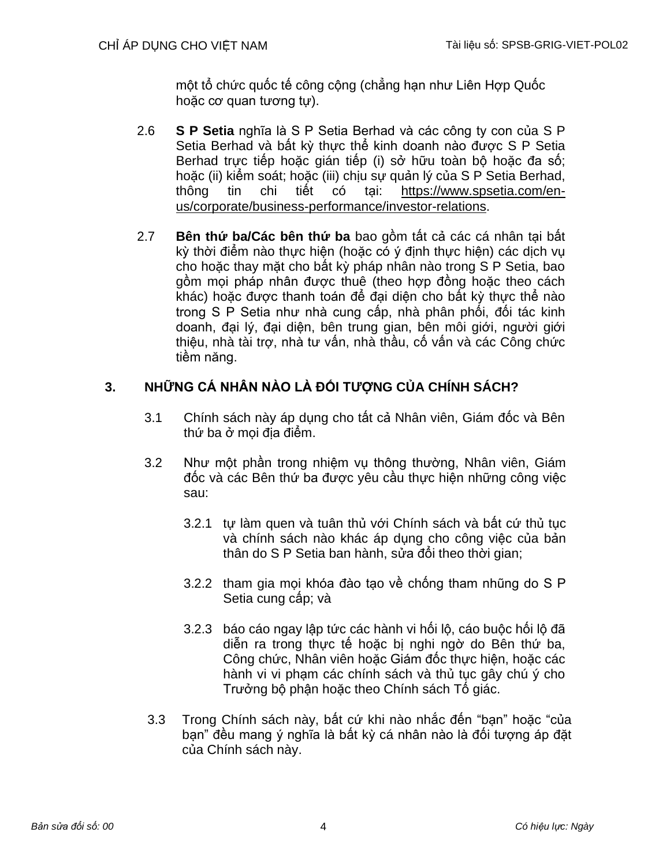một tổ chức quốc tế công cộng (chẳng hạn như Liên Hợp Quốc hoặc cơ quan tương tự).

- 2.6 **S P Setia** nghĩa là S P Setia Berhad và các công ty con của S P Setia Berhad và bất kỳ thực thể kinh doanh nào được S P Setia Berhad trực tiếp hoặc gián tiếp (i) sở hữu toàn bô hoặc đa số; hoặc (ii) kiểm soát; hoặc (iii) chịu sự quản lý của S P Setia Berhad, thông tin chi tiết có tại: [https://www.spsetia.com/en](https://www.spsetia.com/en-us/corporate/business-performance/investor-relations)[us/corporate/business-performance/investor-relations.](https://www.spsetia.com/en-us/corporate/business-performance/investor-relations)
- 2.7 **Bên thứ ba/Các bên thứ ba** bao gồm tất cả các cá nhân tại bất kỳ thời điểm nào thực hiện (hoặc có ý định thực hiện) các dịch vụ cho hoặc thay mặt cho bất kỳ pháp nhân nào trong S P Setia, bao gồm mọi pháp nhân được thuê (theo hợp đồng hoặc theo cách khác) hoặc được thanh toán để đại diện cho bất kỳ thực thể nào trong S P Setia như nhà cung cấp, nhà phân phối, đối tác kinh doanh, đại lý, đại diện, bên trung gian, bên môi giới, người giới thiệu, nhà tài trợ, nhà tư vấn, nhà thầu, cố vấn và các Công chức tiềm năng.

# **3. NHỮNG CÁ NHÂN NÀO LÀ ĐỐI TƯỢNG CỦA CHÍNH SÁCH?**

- 3.1 Chính sách này áp dụng cho tất cả Nhân viên, Giám đốc và Bên thứ ba ở mọi địa điểm.
- 3.2 Như một phần trong nhiệm vụ thông thường, Nhân viên, Giám đốc và các Bên thứ ba được yêu cầu thực hiện những công việc sau:
	- 3.2.1 tự làm quen và tuân thủ với Chính sách và bất cứ thủ tục và chính sách nào khác áp dụng cho công việc của bản thân do S P Setia ban hành, sửa đổi theo thời gian;
	- 3.2.2 tham gia mọi khóa đào tạo về chống tham nhũng do S P Setia cung cấp; và
	- 3.2.3 báo cáo ngay lập tức các hành vi hối lộ, cáo buộc hối lộ đã diễn ra trong thực tế hoặc bị nghi ngờ do Bên thứ ba, Công chức, Nhân viên hoặc Giám đốc thực hiện, hoặc các hành vi vi phạm các chính sách và thủ tục gây chú ý cho Trưởng bộ phận hoặc theo Chính sách Tố giác.
- 3.3 Trong Chính sách này, bất cứ khi nào nhắc đến "bạn" hoặc "của bạn" đều mang ý nghĩa là bất kỳ cá nhân nào là đối tượng áp đặt của Chính sách này.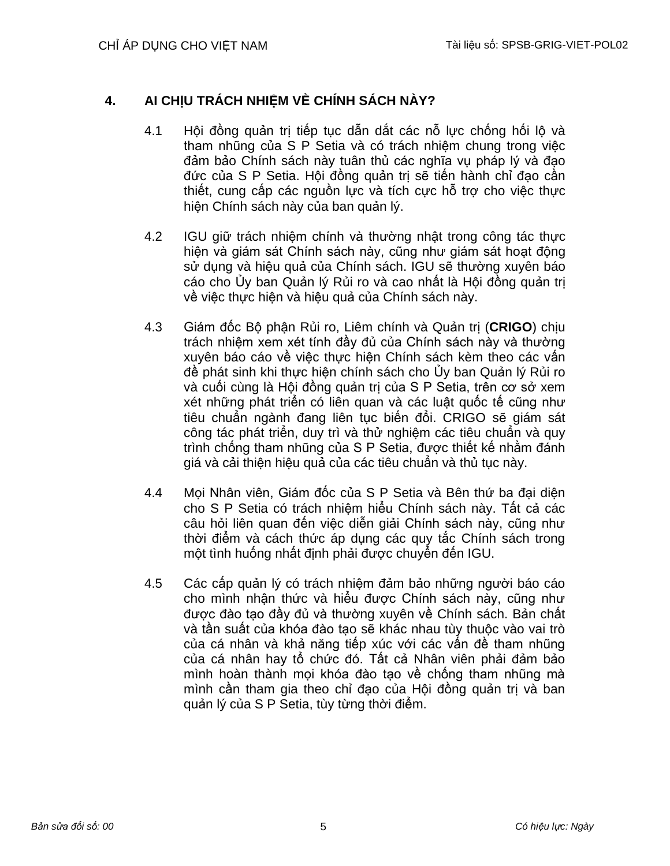# **4. AI CHỊU TRÁCH NHIỆM VỀ CHÍNH SÁCH NÀY?**

- 4.1 Hội đồng quản trị tiếp tục dẫn dắt các nỗ lực chống hối lộ và tham nhũng của S P Setia và có trách nhiệm chung trong việc đảm bảo Chính sách này tuân thủ các nghĩa vụ pháp lý và đạo đức của S P Setia. Hội đồng quản trị sẽ tiến hành chỉ đạo cần thiết, cung cấp các nguồn lực và tích cực hỗ trợ cho việc thực hiện Chính sách này của ban quản lý.
- 4.2 IGU giữ trách nhiệm chính và thường nhật trong công tác thực hiện và giám sát Chính sách này, cũng như giám sát hoạt động sử dụng và hiệu quả của Chính sách. IGU sẽ thường xuyên báo cáo cho Ủy ban Quản lý Rủi ro và cao nhất là Hội đồng quản trị về việc thực hiện và hiệu quả của Chính sách này.
- 4.3 Giám đốc Bộ phận Rủi ro, Liêm chính và Quản trị (**CRIGO**) chịu trách nhiệm xem xét tính đầy đủ của Chính sách này và thường xuyên báo cáo về việc thực hiện Chính sách kèm theo các vấn đề phát sinh khi thực hiện chính sách cho Ủy ban Quản lý Rủi ro và cuối cùng là Hội đồng quản trị của S P Setia, trên cơ sở xem xét những phát triển có liên quan và các luật quốc tế cũng như tiêu chuẩn ngành đang liên tục biến đổi. CRIGO sẽ giám sát công tác phát triển, duy trì và thử nghiệm các tiêu chuẩn và quy trình chống tham nhũng của S P Setia, được thiết kế nhằm đánh giá và cải thiện hiệu quả của các tiêu chuẩn và thủ tục này.
- 4.4 Mọi Nhân viên, Giám đốc của S P Setia và Bên thứ ba đại diện cho S P Setia có trách nhiệm hiểu Chính sách này. Tất cả các câu hỏi liên quan đến việc diễn giải Chính sách này, cũng như thời điểm và cách thức áp dụng các quy tắc Chính sách trong một tình huống nhất định phải được chuyển đến IGU.
- 4.5 Các cấp quản lý có trách nhiệm đảm bảo những người báo cáo cho mình nhận thức và hiểu được Chính sách này, cũng như được đào tạo đầy đủ và thường xuyên về Chính sách. Bản chất và tần suất của khóa đào tạo sẽ khác nhau tùy thuộc vào vai trò của cá nhân và khả năng tiếp xúc với các vấn đề tham nhũng của cá nhân hay tổ chức đó. Tất cả Nhân viên phải đảm bảo mình hoàn thành mọi khóa đào tạo về chống tham nhũng mà mình cần tham gia theo chỉ đạo của Hội đồng quản trị và ban quản lý của S P Setia, tùy từng thời điểm.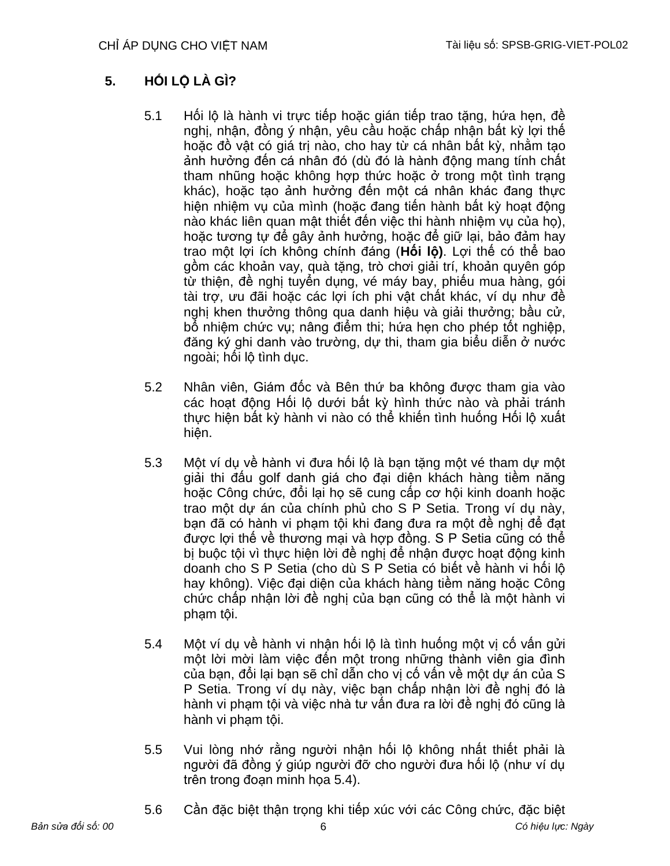# **5. HỐI LỘ LÀ GÌ?**

- 5.1 Hối lộ là hành vi trực tiếp hoặc gián tiếp trao tặng, hứa hẹn, đề nghị, nhân, đồng ý nhân, yêu cầu hoặc chấp nhân bất kỳ lợi thế hoặc đồ vật có giá trị nào, cho hay từ cá nhân bất kỳ, nhằm tạo ảnh hưởng đến cá nhân đó (dù đó là hành động mang tính chất tham nhũng hoặc không hợp thức hoặc ở trong một tình trang khác), hoặc tạo ảnh hưởng đến một cá nhân khác đang thực hiện nhiệm vụ của mình (hoặc đang tiến hành bất kỳ hoạt động nào khác liên quan mật thiết đến việc thi hành nhiệm vụ của họ), hoặc tương tư để gây ảnh hưởng, hoặc để giữ lại, bảo đảm hay trao một lợi ích không chính đáng (**Hối lộ)**. Lợi thế có thể bao gồm các khoản vay, quà tặng, trò chơi giải trí, khoản quyên góp từ thiện, đề nghị tuyển dụng, vé máy bay, phiếu mua hàng, gói tài trợ, ưu đãi hoặc các lợi ích phi vật chất khác, ví dụ như đề nghị khen thưởng thông qua danh hiệu và giải thưởng; bầu cử, bổ nhiệm chức vụ; nâng điểm thi; hứa hẹn cho phép tốt nghiệp, đăng ký ghi danh vào trường, dự thi, tham gia biểu diễn ở nước ngoài; hối lộ tình dục.
- 5.2 Nhân viên, Giám đốc và Bên thứ ba không được tham gia vào các hoạt động Hối lộ dưới bất kỳ hình thức nào và phải tránh thực hiện bất kỳ hành vi nào có thể khiến tình huống Hối lộ xuất hiện.
- 5.3 Một ví dụ về hành vi đưa hối lộ là bạn tặng một vé tham dự một giải thi đấu golf danh giá cho đại diện khách hàng tiềm năng hoặc Công chức, đổi lại họ sẽ cung cấp cơ hội kinh doanh hoặc trao một dự án của chính phủ cho S P Setia. Trong ví dụ này, bạn đã có hành vi phạm tội khi đang đưa ra một đề nghị để đạt được lợi thế về thương mại và hợp đồng. S P Setia cũng có thể bị buộc tội vì thực hiện lời đề nghị để nhận được hoạt động kinh doanh cho S P Setia (cho dù S P Setia có biết về hành vi hối lộ hay không). Việc đại diện của khách hàng tiềm năng hoặc Công chức chấp nhận lời đề nghị của bạn cũng có thể là một hành vi phạm tội.
- 5.4 Một ví dụ về hành vi nhận hối lộ là tình huống một vị cố vấn gửi một lời mời làm việc đến một trong những thành viên gia đình của bạn, đổi lại bạn sẽ chỉ dẫn cho vị cố vấn về một dự án của S P Setia. Trong ví dụ này, việc bạn chấp nhận lời đề nghị đó là hành vi phạm tội và việc nhà tư vấn đưa ra lời đề nghị đó cũng là hành vi phạm tội.
- 5.5 Vui lòng nhớ rằng người nhận hối lộ không nhất thiết phải là người đã đồng ý giúp người đỡ cho người đưa hối lộ (như ví dụ trên trong đoạn minh họa 5.4).
- 5.6 Cần đặc biệt thận trọng khi tiếp xúc với các Công chức, đặc biệt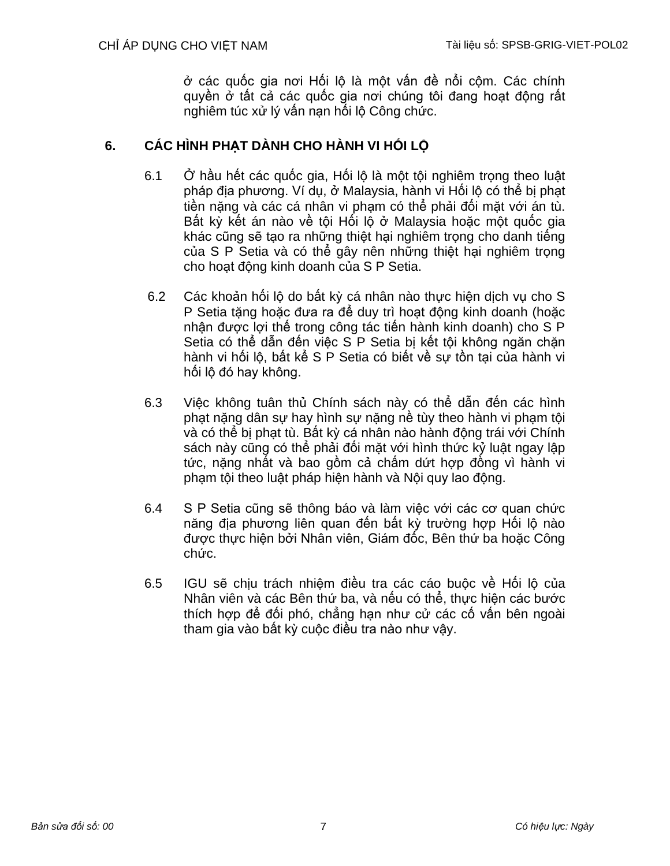ở các quốc gia nơi Hối lộ là một vấn đề nổi cộm. Các chính quyền ở tất cả các quốc gia nơi chúng tôi đang hoạt động rất nghiêm túc xử lý vấn nạn hối lộ Công chức.

# **6. CÁC HÌNH PHẠT DÀNH CHO HÀNH VI HỐI LỘ**

- 6.1 Ở hầu hết các quốc gia, Hối lộ là một tôi nghiêm trong theo luật pháp địa phương. Ví dụ, ở Malaysia, hành vi Hối lộ có thể bị phạt tiền nặng và các cá nhân vi phạm có thể phải đối mặt với án tù. Bất kỳ kết án nào về tôi Hối lô ở Malaysia hoặc một quốc gia khác cũng sẽ tạo ra những thiệt hại nghiêm trọng cho danh tiếng của S P Setia và có thể gây nên những thiệt hại nghiêm trọng cho hoạt động kinh doanh của S P Setia.
- 6.2 Các khoản hối lộ do bất kỳ cá nhân nào thực hiện dịch vụ cho S P Setia tặng hoặc đưa ra để duy trì hoạt động kinh doanh (hoặc nhận được lợi thế trong công tác tiến hành kinh doanh) cho S P Setia có thể dẫn đến việc S P Setia bị kết tội không ngăn chặn hành vi hối lô, bất kể S P Setia có biết về sư tồn tại của hành vi hối lộ đó hay không.
- 6.3 Việc không tuân thủ Chính sách này có thể dẫn đến các hình phạt nặng dân sự hay hình sự nặng nề tùy theo hành vi phạm tội và có thể bị phạt tù. Bất kỳ cá nhân nào hành động trái với Chính sách này cũng có thể phải đối mặt với hình thức kỷ luật ngay lập tức, nặng nhất và bao gồm cả chấm dứt hợp đồng vì hành vi phạm tội theo luật pháp hiện hành và Nội quy lao động.
- 6.4 S P Setia cũng sẽ thông báo và làm việc với các cơ quan chức năng địa phương liên quan đến bất kỳ trường hợp Hối lộ nào được thực hiện bởi Nhân viên, Giám đốc, Bên thứ ba hoặc Công chức.
- 6.5 IGU sẽ chịu trách nhiệm điều tra các cáo buộc về Hối lộ của Nhân viên và các Bên thứ ba, và nếu có thể, thực hiện các bước thích hợp để đối phó, chẳng hạn như cử các cố vấn bên ngoài tham gia vào bất kỳ cuộc điều tra nào như vậy.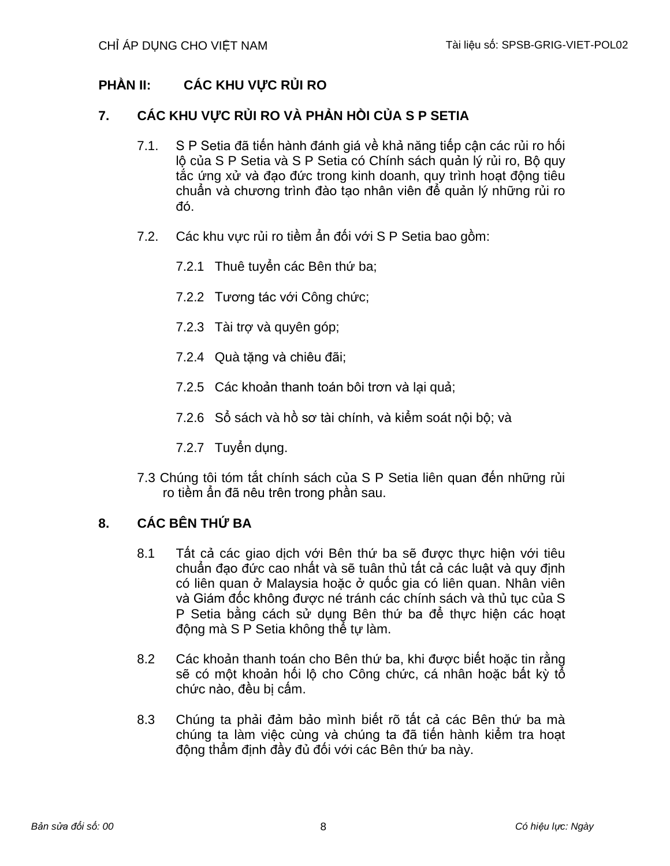# **PHẦN II: CÁC KHU VỰC RỦI RO**

# **7. CÁC KHU VỰC RỦI RO VÀ PHẢN HỒI CỦA S P SETIA**

- 7.1. S P Setia đã tiến hành đánh giá về khả năng tiếp cận các rủi ro hối lộ của S P Setia và S P Setia có Chính sách quản lý rủi ro, Bộ quy tắc ứng xử và đạo đức trong kinh doanh, quy trình hoạt động tiêu chuẩn và chương trình đào tạo nhân viên để quản lý những rủi ro đó.
- 7.2. Các khu vực rủi ro tiềm ẩn đối với S P Setia bao gồm:
	- 7.2.1 Thuê tuyển các Bên thứ ba;
	- 7.2.2 Tương tác với Công chức;
	- 7.2.3 Tài trợ và quyên góp;
	- 7.2.4 Quà tặng và chiêu đãi;
	- 7.2.5 Các khoản thanh toán bôi trơn và lại quả;
	- 7.2.6 Sổ sách và hồ sơ tài chính, và kiểm soát nội bộ; và
	- 7.2.7 Tuyển dụng.
- 7.3 Chúng tôi tóm tắt chính sách của S P Setia liên quan đến những rủi ro tiềm ẩn đã nêu trên trong phần sau.

# **8. CÁC BÊN THỨ BA**

- 8.1 Tất cả các giao dịch với Bên thứ ba sẽ được thực hiện với tiêu chuẩn đạo đức cao nhất và sẽ tuân thủ tất cả các luật và quy định có liên quan ở Malaysia hoặc ở quốc gia có liên quan. Nhân viên và Giám đốc không được né tránh các chính sách và thủ tục của S P Setia bằng cách sử dụng Bên thứ ba để thực hiện các hoạt động mà S P Setia không thể tự làm.
- 8.2 Các khoản thanh toán cho Bên thứ ba, khi được biết hoặc tin rằng sẽ có một khoản hối lộ cho Công chức, cá nhân hoặc bất kỳ tổ chức nào, đều bị cấm.
- 8.3 Chúng ta phải đảm bảo mình biết rõ tất cả các Bên thứ ba mà chúng ta làm việc cùng và chúng ta đã tiến hành kiểm tra hoạt động thẩm định đầy đủ đối với các Bên thứ ba này.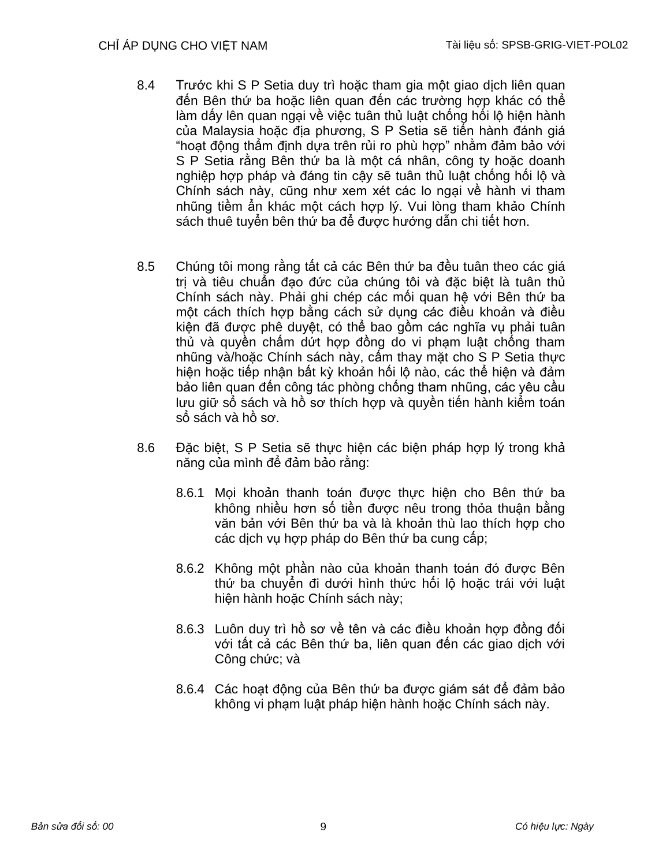- 8.4 Trước khi S P Setia duy trì hoặc tham gia một giao dịch liên quan đến Bên thứ ba hoặc liên quan đến các trường hợp khác có thể làm dấy lên quan ngại về việc tuân thủ luật chống hối lộ hiện hành của Malaysia hoặc địa phương, S P Setia sẽ tiến hành đánh giá "hoạt động thẩm định dựa trên rủi ro phù hợp" nhằm đảm bảo với S P Setia rằng Bên thứ ba là một cá nhân, công ty hoặc doanh nghiệp hợp pháp và đáng tin cậy sẽ tuân thủ luật chống hối lộ và Chính sách này, cũng như xem xét các lo ngại về hành vi tham nhũng tiềm ẩn khác một cách hợp lý. Vui lòng tham khảo Chính sách thuê tuyển bên thứ ba để được hướng dẫn chi tiết hơn.
- 8.5 Chúng tôi mong rằng tất cả các Bên thứ ba đều tuân theo các giá trị và tiêu chuẩn đạo đức của chúng tôi và đặc biệt là tuân thủ Chính sách này. Phải ghi chép các mối quan hệ với Bên thứ ba một cách thích hợp bằng cách sử dụng các điều khoản và điều kiện đã được phê duyệt, có thể bao gồm các nghĩa vụ phải tuân thủ và quyền chấm dứt hợp đồng do vi phạm luật chống tham nhũng và/hoặc Chính sách này, cấm thay mặt cho S P Setia thực hiện hoặc tiếp nhận bất kỳ khoản hối lộ nào, các thể hiện và đảm bảo liên quan đến công tác phòng chống tham nhũng, các yêu cầu lưu giữ sổ sách và hồ sơ thích hợp và quyền tiến hành kiểm toán sổ sách và hồ sơ.
- 8.6 Đặc biệt, S P Setia sẽ thực hiện các biện pháp hợp lý trong khả năng của mình để đảm bảo rằng:
	- 8.6.1 Moi khoản thanh toán được thực hiện cho Bên thứ ba không nhiều hơn số tiền được nêu trong thỏa thuận bằng văn bản với Bên thứ ba và là khoản thù lao thích hợp cho các dịch vụ hợp pháp do Bên thứ ba cung cấp;
	- 8.6.2 Không một phần nào của khoản thanh toán đó được Bên thứ ba chuyển đi dưới hình thức hối lộ hoặc trái với luật hiện hành hoặc Chính sách này;
	- 8.6.3 Luôn duy trì hồ sơ về tên và các điều khoản hợp đồng đối với tất cả các Bên thứ ba, liên quan đến các giao dịch với Công chức; và
	- 8.6.4 Các hoạt động của Bên thứ ba được giám sát để đảm bảo không vi phạm luật pháp hiện hành hoặc Chính sách này.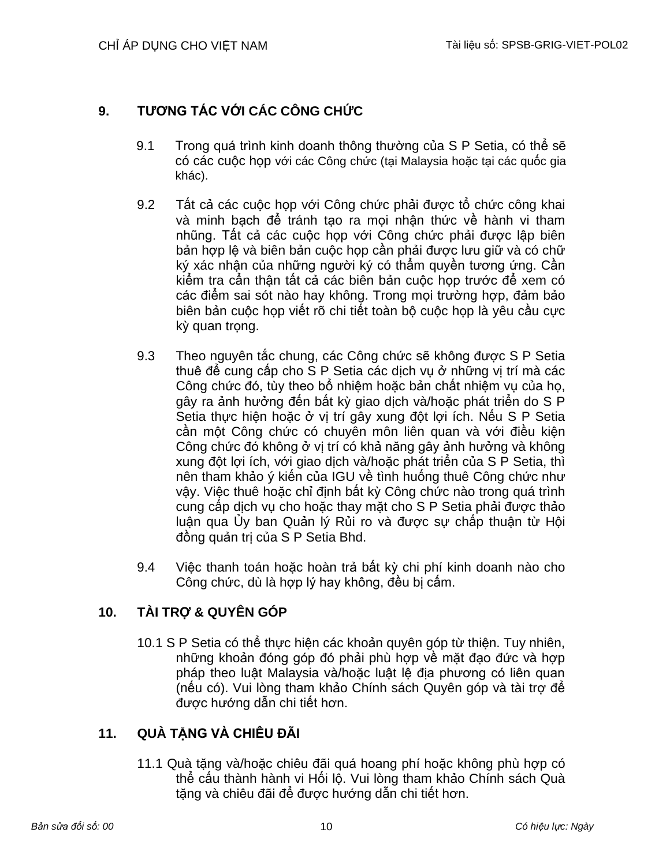# **9. TƯƠNG TÁC VỚI CÁC CÔNG CHỨC**

- 9.1 Trong quá trình kinh doanh thông thường của S P Setia, có thể sẽ có các cuộc họp với các Công chức (tại Malaysia hoặc tại các quốc gia khác).
- 9.2 Tất cả các cuộc họp với Công chức phải được tổ chức công khai và minh bạch để tránh tạo ra mọi nhận thức về hành vi tham nhũng. Tất cả các cuộc họp với Công chức phải được lập biên bản hợp lệ và biên bản cuộc họp cần phải được lưu giữ và có chữ ký xác nhận của những người ký có thẩm quyền tương ứng. Cần kiểm tra cẩn thận tất cả các biên bản cuộc họp trước để xem có các điểm sai sót nào hay không. Trong mọi trường hợp, đảm bảo biên bản cuộc họp viết rõ chi tiết toàn bộ cuộc họp là yêu cầu cực kỳ quan trong.
- 9.3 Theo nguyên tắc chung, các Công chức sẽ không được S P Setia thuê để cung cấp cho S P Setia các dịch vụ ở những vị trí mà các Công chức đó, tùy theo bổ nhiệm hoặc bản chất nhiệm vụ của họ, gây ra ảnh hưởng đến bất kỳ giao dịch và/hoặc phát triển do S P Setia thực hiện hoặc ở vị trí gây xung đột lợi ích. Nếu S P Setia cần một Công chức có chuyên môn liên quan và với điều kiện Công chức đó không ở vị trí có khả năng gây ảnh hưởng và không xung đột lợi ích, với giao dịch và/hoặc phát triển của S P Setia, thì nên tham khảo ý kiến của IGU về tình huống thuê Công chức như vậy. Việc thuê hoặc chỉ định bất kỳ Công chức nào trong quá trình cung cấp dịch vụ cho hoặc thay mặt cho S P Setia phải được thảo luận qua Ủy ban Quản lý Rủi ro và được sự chấp thuận từ Hội đồng quản trị của S P Setia Bhd.
- 9.4 Việc thanh toán hoặc hoàn trả bất kỳ chi phí kinh doanh nào cho Công chức, dù là hợp lý hay không, đều bị cấm.

# **10. TÀI TRỢ & QUYÊN GÓP**

10.1 S P Setia có thể thực hiện các khoản quyên góp từ thiện. Tuy nhiên, những khoản đóng góp đó phải phù hợp về mặt đạo đức và hợp pháp theo luật Malaysia và/hoặc luật lệ địa phương có liên quan (nếu có). Vui lòng tham khảo Chính sách Quyên góp và tài trợ để được hướng dẫn chi tiết hơn.

# **11. QUÀ TẶNG VÀ CHIÊU ĐÃI**

11.1 Quà tặng và/hoặc chiêu đãi quá hoang phí hoặc không phù hợp có thể cấu thành hành vi Hối lộ. Vui lòng tham khảo Chính sách Quà tặng và chiêu đãi để được hướng dẫn chi tiết hơn.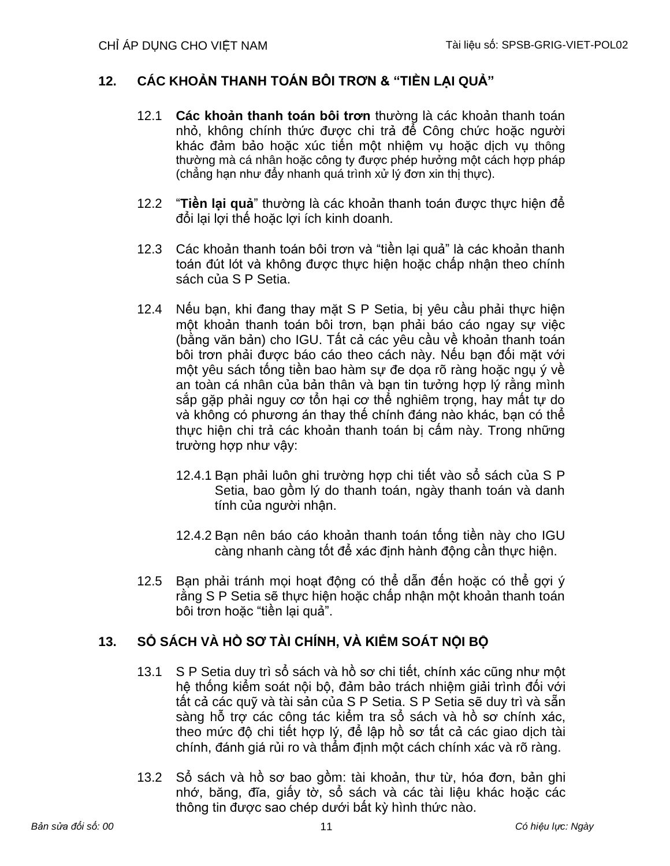# **12. CÁC KHOẢN THANH TOÁN BÔI TRƠN & "TIỀN LẠI QUẢ"**

- 12.1 **Các khoản thanh toán bôi trơn** thường là các khoản thanh toán nhỏ, không chính thức được chi trả để Công chức hoặc người khác đảm bảo hoặc xúc tiến một nhiệm vụ hoặc dịch vụ thông thường mà cá nhân hoặc công ty được phép hưởng một cách hợp pháp (chẳng hạn như đẩy nhanh quá trình xử lý đơn xin thị thực).
- 12.2 "**Tiền lại quả**" thường là các khoản thanh toán được thực hiện để đổi lại lợi thế hoặc lợi ích kinh doanh.
- 12.3 Các khoản thanh toán bôi trơn và "tiền lại quả" là các khoản thanh toán đút lót và không được thực hiện hoặc chấp nhận theo chính sách của S P Setia.
- 12.4 Nếu bạn, khi đang thay mặt S P Setia, bị yêu cầu phải thực hiện một khoản thanh toán bôi trơn, bạn phải báo cáo ngay sự việc (bằng văn bản) cho IGU. Tất cả các yêu cầu về khoản thanh toán bôi trơn phải được báo cáo theo cách này. Nếu bạn đối mặt với một yêu sách tống tiền bao hàm sự đe dọa rõ ràng hoặc ngụ ý về an toàn cá nhân của bản thân và bạn tin tưởng hợp lý rằng mình sắp gặp phải nguy cơ tổn hại cơ thể nghiêm trọng, hay mất tự do và không có phương án thay thế chính đáng nào khác, bạn có thể thực hiện chi trả các khoản thanh toán bị cấm này. Trong những trường hợp như vậy:
	- 12.4.1 Bạn phải luôn ghi trường hợp chi tiết vào sổ sách của S P Setia, bao gồm lý do thanh toán, ngày thanh toán và danh tính của người nhận.
	- 12.4.2 Bạn nên báo cáo khoản thanh toán tống tiền này cho IGU càng nhanh càng tốt để xác định hành động cần thực hiện.
- 12.5 Bạn phải tránh mọi hoạt động có thể dẫn đến hoặc có thể gợi ý rằng S P Setia sẽ thực hiện hoặc chấp nhận một khoản thanh toán bôi trơn hoặc "tiền lại quả".

# **13. SỔ SÁCH VÀ HỒ SƠ TÀI CHÍNH, VÀ KIỂM SOÁT NỘI BỘ**

- 13.1 S P Setia duy trì sổ sách và hồ sơ chi tiết, chính xác cũng như một hệ thống kiểm soát nội bộ, đảm bảo trách nhiệm giải trình đối với tất cả các quỹ và tài sản của S P Setia. S P Setia sẽ duy trì và sẵn sàng hỗ trợ các công tác kiểm tra sổ sách và hồ sơ chính xác, theo mức độ chi tiết hợp lý, để lập hồ sơ tất cả các giao dịch tài chính, đánh giá rủi ro và thẩm định một cách chính xác và rõ ràng.
- 13.2 Sổ sách và hồ sơ bao gồm: tài khoản, thư từ, hóa đơn, bản ghi nhớ, băng, đĩa, giấy tờ, sổ sách và các tài liệu khác hoặc các thông tin được sao chép dưới bất kỳ hình thức nào.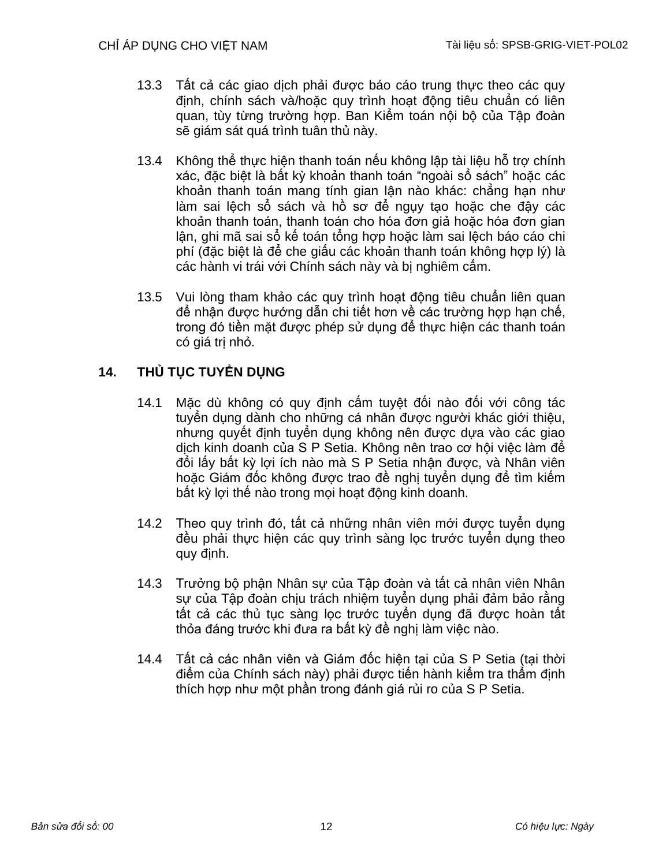- 13.3 Tất cả các giao dịch phải được báo cáo trung thực theo các quy định, chính sách và/hoặc quy trình hoạt động tiêu chuẩn có liên quan, tùy từng trường hợp. Ban Kiểm toán nội bộ của Tập đoàn sẽ giám sát quá trình tuân thủ này.
- 13.4 Không thể thực hiện thanh toán nếu không lập tài liệu hỗ trợ chính xác, đặc biệt là bất kỳ khoản thanh toán "ngoài sổ sách" hoặc các khoản thanh toán mang tính gian lận nào khác: chẳng hạn như làm sai lệch sổ sách và hồ sơ để ngụy tạo hoặc che đậy các khoản thanh toán, thanh toán cho hóa đơn giả hoặc hóa đơn gian lận, ghi mã sai sổ kế toán tổng hợp hoặc làm sai lệch báo cáo chi phí (đặc biệt là để che giấu các khoản thanh toán không hợp lý) là các hành vi trái với Chính sách này và bị nghiêm cấm.
- 13.5 Vui lòng tham khảo các quy trình hoạt động tiêu chuẩn liên quan để nhận được hướng dẫn chi tiết hơn về các trường hợp hạn chế, trong đó tiền mặt được phép sử dụng để thực hiện các thanh toán có giá trị nhỏ.

# **14. THỦ TỤC TUYỂN DỤNG**

- 14.1 Mặc dù không có quy định cấm tuyệt đối nào đối với công tác tuyển dụng dành cho những cá nhân được người khác giới thiệu, nhưng quyết định tuyển dụng không nên được dựa vào các giao dịch kinh doanh của S P Setia. Không nên trao cơ hội việc làm để đổi lấy bất kỳ lợi ích nào mà S P Setia nhận được, và Nhân viên hoặc Giám đốc không được trao đề nghị tuyển dụng để tìm kiếm bất kỳ lợi thế nào trong mọi hoạt động kinh doanh.
- 14.2 Theo quy trình đó, tất cả những nhân viên mới được tuyển dụng đều phải thực hiện các quy trình sàng lọc trước tuyển dụng theo quy định.
- 14.3 Trưởng bộ phận Nhân sự của Tập đoàn và tất cả nhân viên Nhân sự của Tập đoàn chịu trách nhiệm tuyển dụng phải đảm bảo rằng tất cả các thủ tục sàng lọc trước tuyển dụng đã được hoàn tất thỏa đáng trước khi đưa ra bất kỳ đề nghị làm việc nào.
- 14.4 Tất cả các nhân viên và Giám đốc hiện tại của S P Setia (tại thời điểm của Chính sách này) phải được tiến hành kiểm tra thẩm định thích hợp như một phần trong đánh giá rủi ro của S P Setia.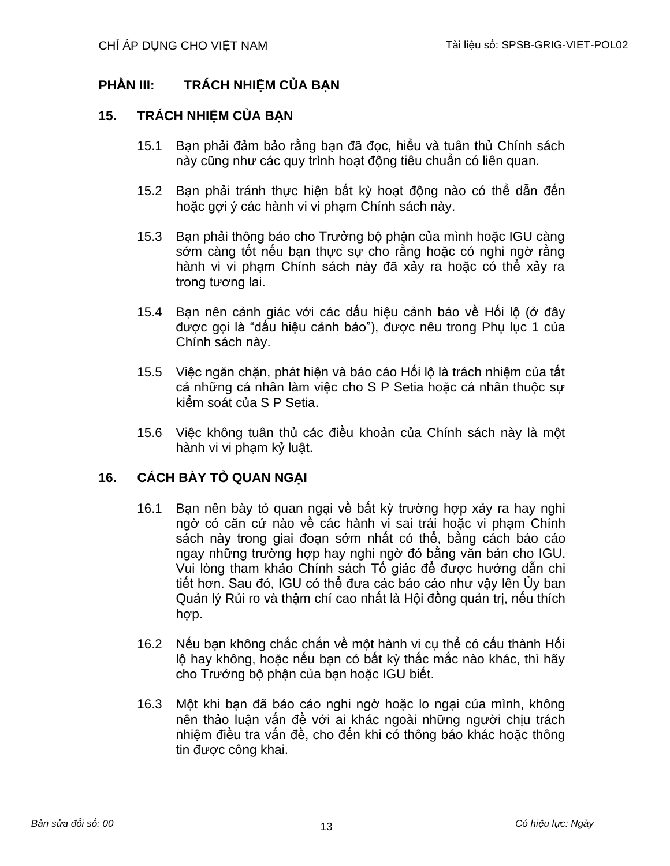# **PHẦN III: TRÁCH NHIỆM CỦA BẠN**

## **15. TRÁCH NHIỆM CỦA BẠN**

- 15.1 Bạn phải đảm bảo rằng bạn đã đọc, hiểu và tuân thủ Chính sách này cũng như các quy trình hoạt động tiêu chuẩn có liên quan.
- 15.2 Bạn phải tránh thực hiện bất kỳ hoạt động nào có thể dẫn đến hoặc gợi ý các hành vi vi phạm Chính sách này.
- 15.3 Bạn phải thông báo cho Trưởng bộ phận của mình hoặc IGU càng sớm càng tốt nếu bạn thực sự cho rằng hoặc có nghi ngờ rằng hành vi vi phạm Chính sách này đã xảy ra hoặc có thể xảy ra trong tương lai.
- 15.4 Bạn nên cảnh giác với các dấu hiệu cảnh báo về Hối lộ (ở đây được gọi là "dấu hiệu cảnh báo"), được nêu trong Phụ lục 1 của Chính sách này.
- 15.5 Việc ngăn chặn, phát hiện và báo cáo Hối lộ là trách nhiệm của tất cả những cá nhân làm việc cho S P Setia hoặc cá nhân thuộc sự kiểm soát của S P Setia.
- 15.6 Việc không tuân thủ các điều khoản của Chính sách này là một hành vi vi phạm kỷ luật.

# **16. CÁCH BÀY TỎ QUAN NGẠI**

- 16.1 Bạn nên bày tỏ quan ngại về bất kỳ trường hợp xảy ra hay nghi ngờ có căn cứ nào về các hành vi sai trái hoặc vi phạm Chính sách này trong giai đoạn sớm nhất có thể, bằng cách báo cáo ngay những trường hợp hay nghi ngờ đó bằng văn bản cho IGU. Vui lòng tham khảo Chính sách Tố giác để được hướng dẫn chi tiết hơn. Sau đó, IGU có thể đưa các báo cáo như vậy lên Ủy ban Quản lý Rủi ro và thậm chí cao nhất là Hội đồng quản trị, nếu thích hợp.
- 16.2 Nếu bạn không chắc chắn về một hành vi cụ thể có cấu thành Hối lộ hay không, hoặc nếu bạn có bất kỳ thắc mắc nào khác, thì hãy cho Trưởng bộ phận của bạn hoặc IGU biết.
- 16.3 Một khi bạn đã báo cáo nghi ngờ hoặc lo ngại của mình, không nên thảo luận vấn đề với ai khác ngoài những người chịu trách nhiệm điều tra vấn đề, cho đến khi có thông báo khác hoặc thông tin được công khai.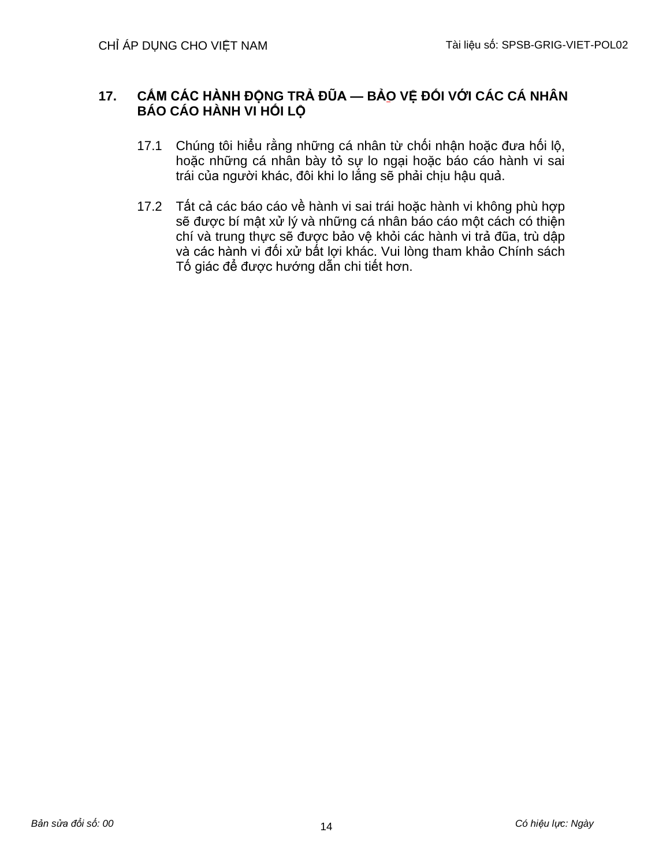## **17. CẤM CÁC HÀNH ĐỘNG TRẢ ĐŨA — BẢO VỆ ĐỐI VỚI CÁC CÁ NHÂN BÁO CÁO HÀNH VI HỐI LỘ**

- 17.1 Chúng tôi hiểu rằng những cá nhân từ chối nhận hoặc đưa hối lộ, hoặc những cá nhân bày tỏ sự lo ngại hoặc báo cáo hành vi sai trái của người khác, đôi khi lo lắng sẽ phải chịu hậu quả.
- 17.2 Tất cả các báo cáo về hành vi sai trái hoặc hành vi không phù hợp sẽ được bí mật xử lý và những cá nhân báo cáo một cách có thiện chí và trung thực sẽ được bảo vệ khỏi các hành vi trả đũa, trù dập và các hành vi đối xử bất lợi khác. Vui lòng tham khảo Chính sách Tố giác để được hướng dẫn chi tiết hơn.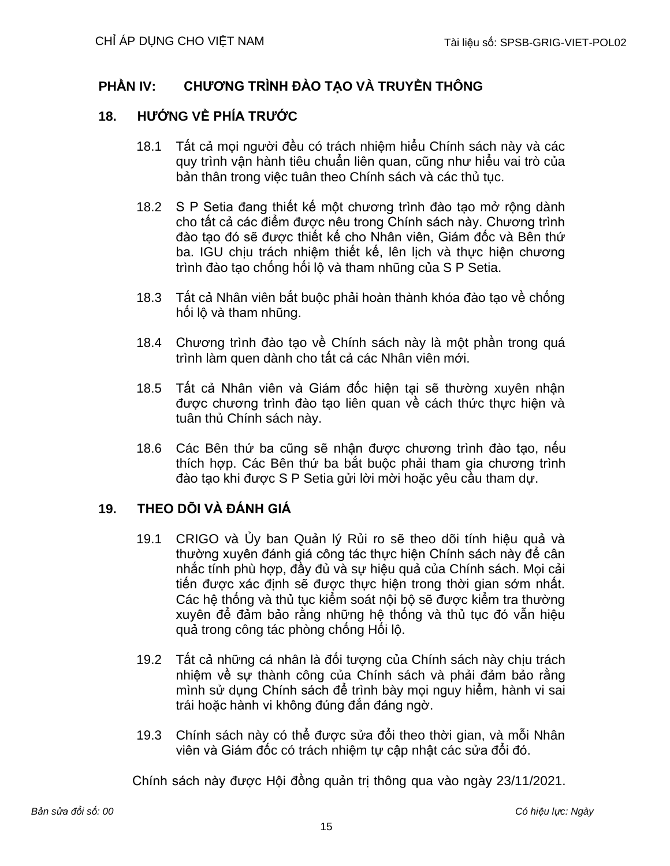# **PHẦN IV: CHƯƠNG TRÌNH ĐÀO TẠO VÀ TRUYỀN THÔNG**

## **18. HƯỚNG VỀ PHÍA TRƯỚC**

- 18.1 Tất cả mọi người đều có trách nhiệm hiểu Chính sách này và các quy trình vận hành tiêu chuẩn liên quan, cũng như hiểu vai trò của bản thân trong việc tuân theo Chính sách và các thủ tục.
- 18.2 S P Setia đang thiết kế một chương trình đào tạo mở rộng dành cho tất cả các điểm được nêu trong Chính sách này. Chương trình đào tạo đó sẽ được thiết kế cho Nhân viên, Giám đốc và Bên thứ ba. IGU chịu trách nhiệm thiết kế, lên lịch và thực hiện chương trình đào tạo chống hối lộ và tham nhũng của S P Setia.
- 18.3 Tất cả Nhân viên bắt buộc phải hoàn thành khóa đào tạo về chống hối lộ và tham nhũng.
- 18.4 Chương trình đào tạo về Chính sách này là một phần trong quá trình làm quen dành cho tất cả các Nhân viên mới.
- 18.5 Tất cả Nhân viên và Giám đốc hiện tại sẽ thường xuyên nhận được chương trình đào tạo liên quan về cách thức thực hiện và tuân thủ Chính sách này.
- 18.6 Các Bên thứ ba cũng sẽ nhận được chương trình đào tạo, nếu thích hợp. Các Bên thứ ba bắt buộc phải tham gia chương trình đào tạo khi được S P Setia gửi lời mời hoặc yêu cầu tham dự.

## **19. THEO DÕI VÀ ĐÁNH GIÁ**

- 19.1 CRIGO và Ủy ban Quản lý Rủi ro sẽ theo dõi tính hiệu quả và thường xuyên đánh giá công tác thực hiện Chính sách này để cân nhắc tính phù hợp, đầy đủ và sự hiệu quả của Chính sách. Mọi cải tiến được xác định sẽ được thực hiện trong thời gian sớm nhất. Các hệ thống và thủ tục kiểm soát nội bộ sẽ được kiểm tra thường xuyên để đảm bảo rằng những hệ thống và thủ tục đó vẫn hiệu quả trong công tác phòng chống Hối lộ.
- 19.2 Tất cả những cá nhân là đối tượng của Chính sách này chịu trách nhiệm về sự thành công của Chính sách và phải đảm bảo rằng mình sử dụng Chính sách để trình bày mọi nguy hiểm, hành vi sai trái hoặc hành vi không đúng đắn đáng ngờ.
- 19.3 Chính sách này có thể được sửa đổi theo thời gian, và mỗi Nhân viên và Giám đốc có trách nhiệm tự cập nhật các sửa đổi đó.

Chính sách này được Hội đồng quản trị thông qua vào ngày 23/11/2021.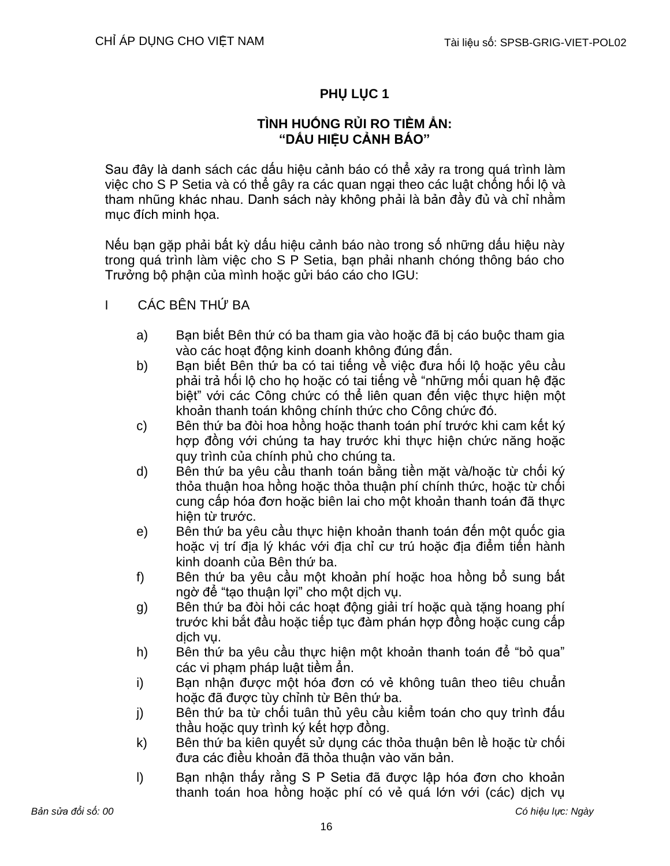# **PHỤ LỤC 1**

## **TÌNH HUỐNG RỦI RO TIỀM ẨN: "DẤU HIỆU CẢNH BÁO"**

Sau đây là danh sách các dấu hiệu cảnh báo có thể xảy ra trong quá trình làm việc cho S P Setia và có thể gây ra các quan ngại theo các luật chống hối lộ và tham nhũng khác nhau. Danh sách này không phải là bản đầy đủ và chỉ nhằm mục đích minh họa.

Nếu bạn gặp phải bất kỳ dấu hiệu cảnh báo nào trong số những dấu hiệu này trong quá trình làm việc cho S P Setia, bạn phải nhanh chóng thông báo cho Trưởng bộ phận của mình hoặc gửi báo cáo cho IGU:

- I CÁC BÊN THỨ BA
	- a) Bạn biết Bên thứ có ba tham gia vào hoặc đã bị cáo buộc tham gia vào các hoạt động kinh doanh không đúng đắn.
	- b) Bạn biết Bên thứ ba có tai tiếng về việc đưa hối lộ hoặc yêu cầu phải trả hối lộ cho họ hoặc có tai tiếng về "những mối quan hệ đặc biệt" với các Công chức có thể liên quan đến việc thực hiện một khoản thanh toán không chính thức cho Công chức đó.
	- c) Bên thứ ba đòi hoa hồng hoặc thanh toán phí trước khi cam kết ký hợp đồng với chúng ta hay trước khi thực hiện chức năng hoặc quy trình của chính phủ cho chúng ta.
	- d) Bên thứ ba yêu cầu thanh toán bằng tiền mặt và/hoặc từ chối ký thỏa thuận hoa hồng hoặc thỏa thuận phí chính thức, hoặc từ chối cung cấp hóa đơn hoặc biên lai cho một khoản thanh toán đã thực hiện từ trước.
	- e) Bên thứ ba yêu cầu thực hiện khoản thanh toán đến một quốc gia hoặc vị trí địa lý khác với địa chỉ cư trú hoặc địa điểm tiến hành kinh doanh của Bên thứ ba.
	- f) Bên thứ ba yêu cầu một khoản phí hoặc hoa hồng bổ sung bất ngờ để "tạo thuận lợi" cho một dịch vụ.
	- g) Bên thứ ba đòi hỏi các hoạt động giải trí hoặc quà tặng hoang phí trước khi bắt đầu hoặc tiếp tục đàm phán hợp đồng hoặc cung cấp dịch vụ.
	- h) Bên thứ ba yêu cầu thực hiện một khoản thanh toán để "bỏ qua" các vi phạm pháp luật tiềm ẩn.
	- i) Bạn nhận được một hóa đơn có vẻ không tuân theo tiêu chuẩn hoặc đã được tùy chỉnh từ Bên thứ ba.
	- j) Bên thứ ba từ chối tuân thủ yêu cầu kiểm toán cho quy trình đấu thầu hoặc quy trình ký kết hợp đồng.
	- k) Bên thứ ba kiên quyết sử dụng các thỏa thuận bên lề hoặc từ chối đưa các điều khoản đã thỏa thuận vào văn bản.
	- l) Bạn nhận thấy rằng S P Setia đã được lập hóa đơn cho khoản thanh toán hoa hồng hoặc phí có vẻ quá lớn với (các) dịch vụ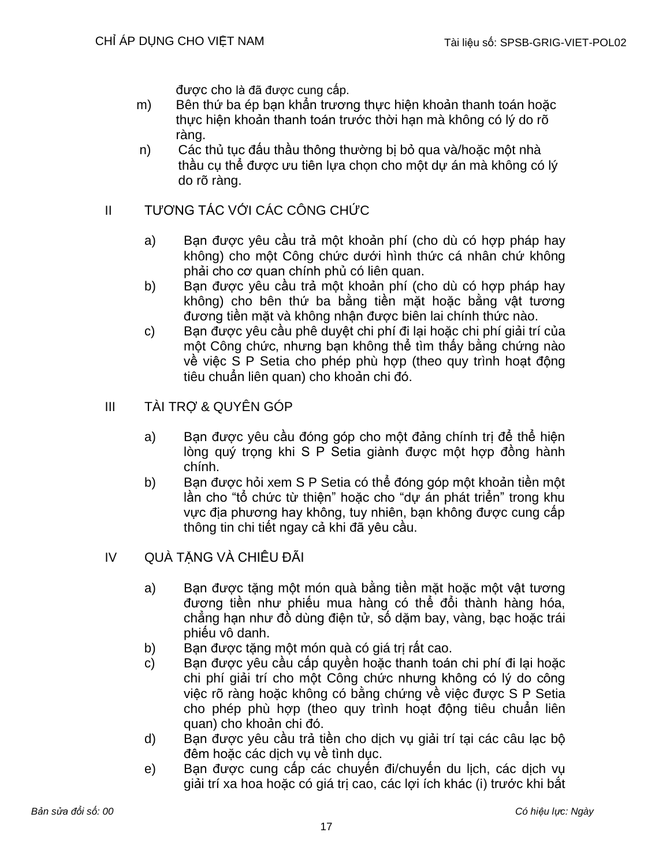được cho là đã được cung cấp.

- m) Bên thứ ba ép bạn khẩn trương thực hiện khoản thanh toán hoặc thực hiện khoản thanh toán trước thời hạn mà không có lý do rõ ràng.
- n) Các thủ tục đấu thầu thông thường bị bỏ qua và/hoặc một nhà thầu cụ thể được ưu tiên lựa chọn cho một dự án mà không có lý do rõ ràng.

## II TƯƠNG TÁC VỚI CÁC CÔNG CHỨC

- a) Bạn được yêu cầu trả một khoản phí (cho dù có hợp pháp hay không) cho một Công chức dưới hình thức cá nhân chứ không phải cho cơ quan chính phủ có liên quan.
- b) Bạn được yêu cầu trả một khoản phí (cho dù có hợp pháp hay không) cho bên thứ ba bằng tiền mặt hoặc bằng vật tương đương tiền mặt và không nhận được biên lai chính thức nào.
- c) Bạn được yêu cầu phê duyệt chi phí đi lại hoặc chi phí giải trí của một Công chức, nhưng bạn không thể tìm thấy bằng chứng nào về việc S P Setia cho phép phù hợp (theo quy trình hoạt động tiêu chuẩn liên quan) cho khoản chi đó.

## III TÀI TRỢ & QUYÊN GÓP

- a) Bạn được yêu cầu đóng góp cho một đảng chính trị để thể hiện lòng quý trong khi S P Setia giành được một hợp đồng hành chính.
- b) Bạn được hỏi xem S P Setia có thể đóng góp một khoản tiền một lần cho "tổ chức từ thiện" hoặc cho "dự án phát triển" trong khu vực địa phương hay không, tuy nhiên, bạn không được cung cấp thông tin chi tiết ngay cả khi đã yêu cầu.

## IV QUÀ TẶNG VÀ CHIÊU ĐÃI

- a) Bạn được tặng một món quà bằng tiền mặt hoặc một vật tương đương tiền như phiếu mua hàng có thể đổi thành hàng hóa, chẳng hạn như đồ dùng điện tử, số dặm bay, vàng, bạc hoặc trái phiếu vô danh.
- b) Ban được tăng một món quà có giá trị rất cao.
- c) Bạn được yêu cầu cấp quyền hoặc thanh toán chi phí đi lại hoặc chi phí giải trí cho một Công chức nhưng không có lý do công việc rõ ràng hoặc không có bằng chứng về việc được S P Setia cho phép phù hợp (theo quy trình hoạt động tiêu chuẩn liên quan) cho khoản chi đó.
- d) Bạn được yêu cầu trả tiền cho dịch vụ giải trí tại các câu lạc bộ đêm hoặc các dịch vụ về tình dục.
- e) Bạn được cung cấp các chuyến đi/chuyến du lịch, các dịch vụ giải trí xa hoa hoặc có giá trị cao, các lợi ích khác (i) trước khi bắt